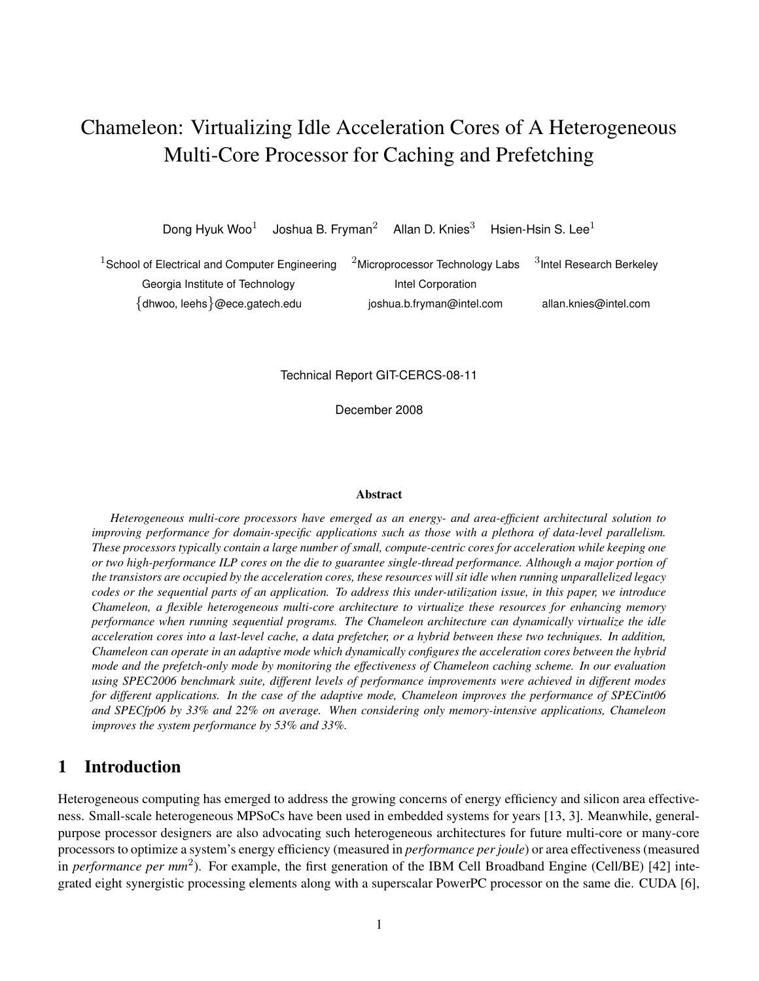# Chameleon: Virtualizing Idle Acceleration Cores of A Heterogeneous Multi-Core Processor for Caching and Prefetching

Dong Hyuk Woo<sup>1</sup> Joshua B. Fryman<sup>2</sup> Allan D. Knies<sup>3</sup> Hsien-Hsin S. Lee<sup>1</sup>

| $1$ School of Electrical and Computer Engineering | $^{-2}$ Microprocessor Technology Labs | <sup>3</sup> Intel Research Berkeley |
|---------------------------------------------------|----------------------------------------|--------------------------------------|
| Georgia Institute of Technology                   | Intel Corporation                      |                                      |
| {dhwoo, leehs}@ece.gatech.edu                     | joshua.b.fryman@intel.com              | allan.knies@intel.com                |

Technical Report GIT-CERCS-08-11

December 2008

#### **Abstract**

*Heterogeneous multi-core processors have emerged as an energy- and area-efficient architectural solution to improving performance for domain-specific applications such as those with a plethora of data-level parallelism.* These processors typically contain a large number of small, compute-centric cores for acceleration while keeping one or two high-performance ILP cores on the die to guarantee single-thread performance. Although a major portion of the transistors are occupied by the acceleration cores, these resources will sit idle when running unparallelized legacy codes or the sequential parts of an application. To address this under-utilization issue, in this paper, we introduce *Chameleon, a flexible heterogeneous multi-core architecture to virtualize these resources for enhancing memory performance when running sequential programs. The Chameleon architecture can dynamically virtualize the idle* acceleration cores into a last-level cache, a data prefetcher, or a hybrid between these two techniques. In addition, *Chameleon can operate in an adaptive mode which dynamically configures the acceleration cores between the hybrid mode and the prefetch-only mode by monitoring the effectiveness of Chameleon caching scheme. In our evaluation using SPEC2006 benchmark suite, different levels of performance improvements were achieved in different modes for different applications. In the case of the adaptive mode, Chameleon improves the performance of SPECint06 and SPECfp06 by 33% and 22% on average. When considering only memory-intensive applications, Chameleon improves the system performance by 53% and 33%.*

# **1 Introduction**

Heterogeneous computing has emerged to address the growing concerns of energy efficiency and silicon area effectiveness. Small-scale heterogeneous MPSoCs have been used in embedded systems for years [13, 3]. Meanwhile, generalpurpose processor designers are also advocating such heterogeneous architectures for future multi-core or many-core processors to optimize a system's energy efficiency (measured in *performance per joule*) or area effectiveness (measured in *performance per mm*<sup>2</sup> ). For example, the first generation of the IBM Cell Broadband Engine (Cell/BE) [42] integrated eight synergistic processing elements along with a superscalar PowerPC processor on the same die. CUDA [6],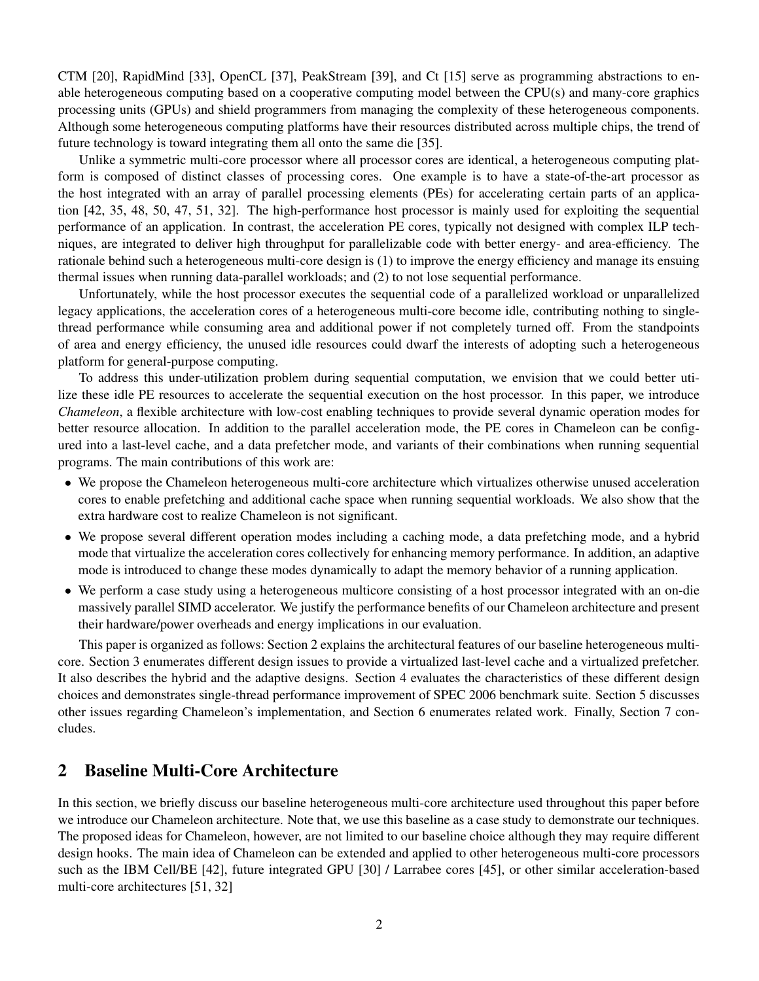CTM [20], RapidMind [33], OpenCL [37], PeakStream [39], and Ct [15] serve as programming abstractions to enable heterogeneous computing based on a cooperative computing model between the CPU(s) and many-core graphics processing units (GPUs) and shield programmers from managing the complexity of these heterogeneous components. Although some heterogeneous computing platforms have their resources distributed across multiple chips, the trend of future technology is toward integrating them all onto the same die [35].

Unlike a symmetric multi-core processor where all processor cores are identical, a heterogeneous computing platform is composed of distinct classes of processing cores. One example is to have a state-of-the-art processor as the host integrated with an array of parallel processing elements (PEs) for accelerating certain parts of an application [42, 35, 48, 50, 47, 51, 32]. The high-performance host processor is mainly used for exploiting the sequential performance of an application. In contrast, the acceleration PE cores, typically not designed with complex ILP techniques, are integrated to deliver high throughput for parallelizable code with better energy- and area-efficiency. The rationale behind such a heterogeneous multi-core design is (1) to improve the energy efficiency and manage its ensuing thermal issues when running data-parallel workloads; and (2) to not lose sequential performance.

Unfortunately, while the host processor executes the sequential code of a parallelized workload or unparallelized legacy applications, the acceleration cores of a heterogeneous multi-core become idle, contributing nothing to singlethread performance while consuming area and additional power if not completely turned off. From the standpoints of area and energy efficiency, the unused idle resources could dwarf the interests of adopting such a heterogeneous platform for general-purpose computing.

To address this under-utilization problem during sequential computation, we envision that we could better utilize these idle PE resources to accelerate the sequential execution on the host processor. In this paper, we introduce *Chameleon*, a flexible architecture with low-cost enabling techniques to provide several dynamic operation modes for better resource allocation. In addition to the parallel acceleration mode, the PE cores in Chameleon can be configured into a last-level cache, and a data prefetcher mode, and variants of their combinations when running sequential programs. The main contributions of this work are:

- We propose the Chameleon heterogeneous multi-core architecture which virtualizes otherwise unused acceleration cores to enable prefetching and additional cache space when running sequential workloads. We also show that the extra hardware cost to realize Chameleon is not significant.
- We propose several different operation modes including a caching mode, a data prefetching mode, and a hybrid mode that virtualize the acceleration cores collectively for enhancing memory performance. In addition, an adaptive mode is introduced to change these modes dynamically to adapt the memory behavior of a running application.
- We perform a case study using a heterogeneous multicore consisting of a host processor integrated with an on-die massively parallel SIMD accelerator. We justify the performance benefits of our Chameleon architecture and present their hardware/power overheads and energy implications in our evaluation.

This paper is organized as follows: Section 2 explains the architectural features of our baseline heterogeneous multicore. Section 3 enumerates different design issues to provide a virtualized last-level cache and a virtualized prefetcher. It also describes the hybrid and the adaptive designs. Section 4 evaluates the characteristics of these different design choices and demonstrates single-thread performance improvement of SPEC 2006 benchmark suite. Section 5 discusses other issues regarding Chameleon's implementation, and Section 6 enumerates related work. Finally, Section 7 concludes.

# **2 Baseline Multi-Core Architecture**

In this section, we briefly discuss our baseline heterogeneous multi-core architecture used throughout this paper before we introduce our Chameleon architecture. Note that, we use this baseline as a case study to demonstrate our techniques. The proposed ideas for Chameleon, however, are not limited to our baseline choice although they may require different design hooks. The main idea of Chameleon can be extended and applied to other heterogeneous multi-core processors such as the IBM Cell/BE [42], future integrated GPU [30] / Larrabee cores [45], or other similar acceleration-based multi-core architectures [51, 32]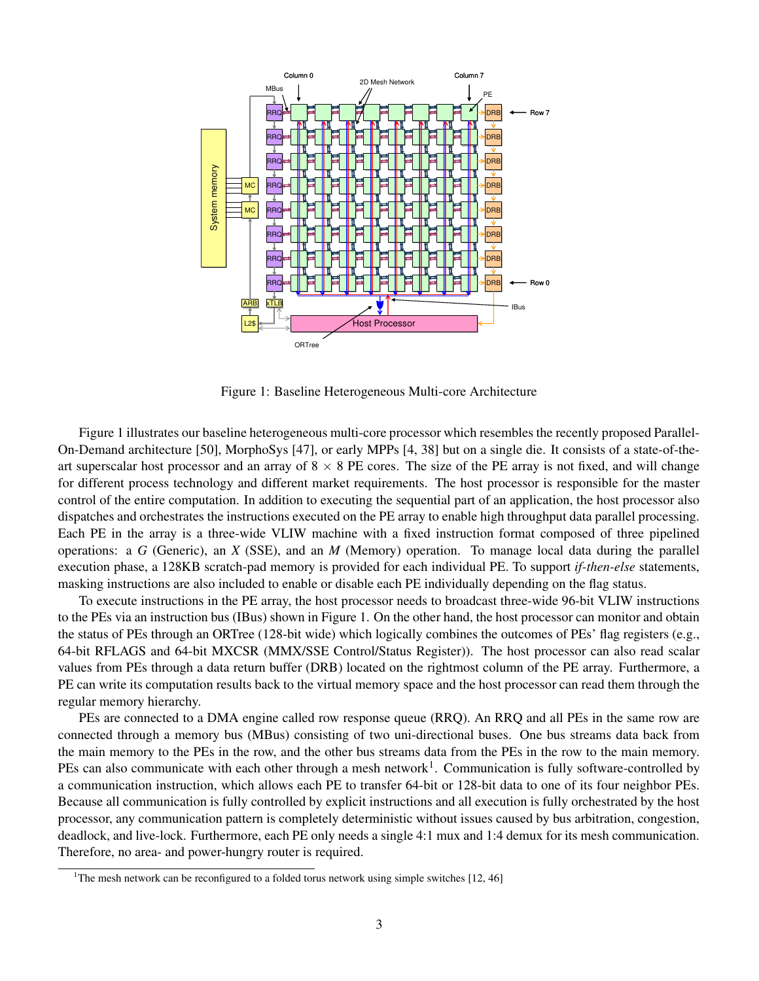

Figure 1: Baseline Heterogeneous Multi-core Architecture

Figure 1 illustrates our baseline heterogeneous multi-core processor which resembles the recently proposed Parallel-On-Demand architecture [50], MorphoSys [47], or early MPPs [4, 38] but on a single die. It consists of a state-of-theart superscalar host processor and an array of  $8 \times 8$  PE cores. The size of the PE array is not fixed, and will change for different process technology and different market requirements. The host processor is responsible for the master control of the entire computation. In addition to executing the sequential part of an application, the host processor also dispatches and orchestrates the instructions executed on the PE array to enable high throughput data parallel processing. Each PE in the array is a three-wide VLIW machine with a fixed instruction format composed of three pipelined operations: a *G* (Generic), an *X* (SSE), and an *M* (Memory) operation. To manage local data during the parallel execution phase, a 128KB scratch-pad memory is provided for each individual PE. To support *if-then-else* statements, masking instructions are also included to enable or disable each PE individually depending on the flag status.

To execute instructions in the PE array, the host processor needs to broadcast three-wide 96-bit VLIW instructions to the PEs via an instruction bus (IBus) shown in Figure 1. On the other hand, the host processor can monitor and obtain the status of PEs through an ORTree (128-bit wide) which logically combines the outcomes of PEs' flag registers (e.g., 64-bit RFLAGS and 64-bit MXCSR (MMX/SSE Control/Status Register)). The host processor can also read scalar values from PEs through a data return buffer (DRB) located on the rightmost column of the PE array. Furthermore, a PE can write its computation results back to the virtual memory space and the host processor can read them through the regular memory hierarchy.

PEs are connected to a DMA engine called row response queue (RRQ). An RRQ and all PEs in the same row are connected through a memory bus (MBus) consisting of two uni-directional buses. One bus streams data back from the main memory to the PEs in the row, and the other bus streams data from the PEs in the row to the main memory. PEs can also communicate with each other through a mesh network<sup>1</sup>. Communication is fully software-controlled by a communication instruction, which allows each PE to transfer 64-bit or 128-bit data to one of its four neighbor PEs. Because all communication is fully controlled by explicit instructions and all execution is fully orchestrated by the host processor, any communication pattern is completely deterministic without issues caused by bus arbitration, congestion, deadlock, and live-lock. Furthermore, each PE only needs a single 4:1 mux and 1:4 demux for its mesh communication. Therefore, no area- and power-hungry router is required.

<sup>&</sup>lt;sup>1</sup>The mesh network can be reconfigured to a folded torus network using simple switches  $[12, 46]$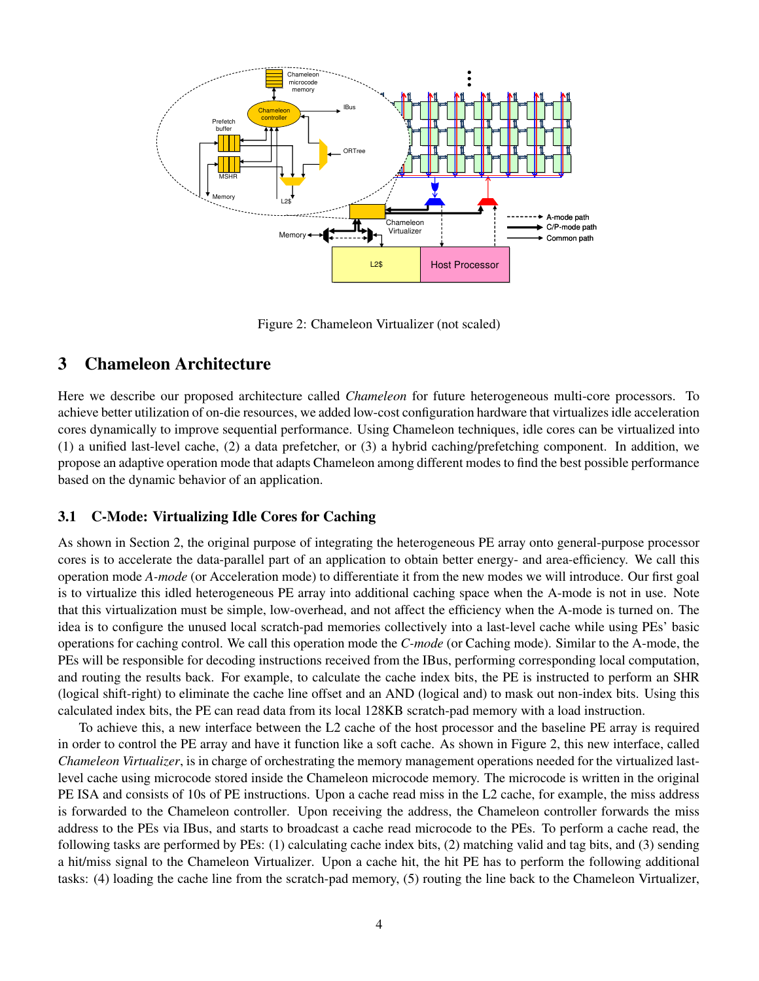

Figure 2: Chameleon Virtualizer (not scaled)

# **3 Chameleon Architecture**

Here we describe our proposed architecture called *Chameleon* for future heterogeneous multi-core processors. To achieve better utilization of on-die resources, we added low-cost configuration hardware that virtualizes idle acceleration cores dynamically to improve sequential performance. Using Chameleon techniques, idle cores can be virtualized into (1) a unified last-level cache, (2) a data prefetcher, or (3) a hybrid caching/prefetching component. In addition, we propose an adaptive operation mode that adapts Chameleon among different modes to find the best possible performance based on the dynamic behavior of an application.

## **3.1 C-Mode: Virtualizing Idle Cores for Caching**

As shown in Section 2, the original purpose of integrating the heterogeneous PE array onto general-purpose processor cores is to accelerate the data-parallel part of an application to obtain better energy- and area-efficiency. We call this operation mode *A-mode* (or Acceleration mode) to differentiate it from the new modes we will introduce. Our first goal is to virtualize this idled heterogeneous PE array into additional caching space when the A-mode is not in use. Note that this virtualization must be simple, low-overhead, and not affect the efficiency when the A-mode is turned on. The idea is to configure the unused local scratch-pad memories collectively into a last-level cache while using PEs' basic operations for caching control. We call this operation mode the *C-mode* (or Caching mode). Similar to the A-mode, the PEs will be responsible for decoding instructions received from the IBus, performing corresponding local computation, and routing the results back. For example, to calculate the cache index bits, the PE is instructed to perform an SHR (logical shift-right) to eliminate the cache line offset and an AND (logical and) to mask out non-index bits. Using this calculated index bits, the PE can read data from its local 128KB scratch-pad memory with a load instruction.

To achieve this, a new interface between the L2 cache of the host processor and the baseline PE array is required in order to control the PE array and have it function like a soft cache. As shown in Figure 2, this new interface, called *Chameleon Virtualizer*, is in charge of orchestrating the memory management operations needed for the virtualized lastlevel cache using microcode stored inside the Chameleon microcode memory. The microcode is written in the original PE ISA and consists of 10s of PE instructions. Upon a cache read miss in the L2 cache, for example, the miss address is forwarded to the Chameleon controller. Upon receiving the address, the Chameleon controller forwards the miss address to the PEs via IBus, and starts to broadcast a cache read microcode to the PEs. To perform a cache read, the following tasks are performed by PEs: (1) calculating cache index bits, (2) matching valid and tag bits, and (3) sending a hit/miss signal to the Chameleon Virtualizer. Upon a cache hit, the hit PE has to perform the following additional tasks: (4) loading the cache line from the scratch-pad memory, (5) routing the line back to the Chameleon Virtualizer,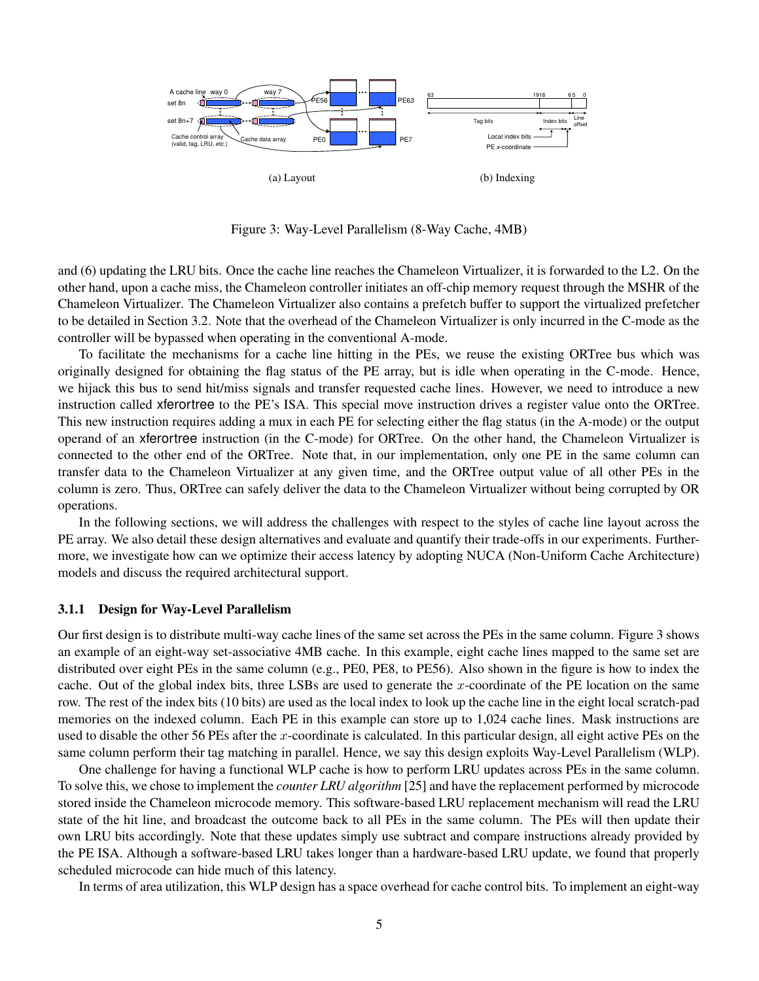

Figure 3: Way-Level Parallelism (8-Way Cache, 4MB)

and (6) updating the LRU bits. Once the cache line reaches the Chameleon Virtualizer, it is forwarded to the L2. On the other hand, upon a cache miss, the Chameleon controller initiates an off-chip memory request through the MSHR of the Chameleon Virtualizer. The Chameleon Virtualizer also contains a prefetch buffer to support the virtualized prefetcher to be detailed in Section 3.2. Note that the overhead of the Chameleon Virtualizer is only incurred in the C-mode as the controller will be bypassed when operating in the conventional A-mode.

To facilitate the mechanisms for a cache line hitting in the PEs, we reuse the existing ORTree bus which was originally designed for obtaining the flag status of the PE array, but is idle when operating in the C-mode. Hence, we hijack this bus to send hit/miss signals and transfer requested cache lines. However, we need to introduce a new instruction called xferortree to the PE's ISA. This special move instruction drives a register value onto the ORTree. This new instruction requires adding a mux in each PE for selecting either the flag status (in the A-mode) or the output operand of an xferortree instruction (in the C-mode) for ORTree. On the other hand, the Chameleon Virtualizer is connected to the other end of the ORTree. Note that, in our implementation, only one PE in the same column can transfer data to the Chameleon Virtualizer at any given time, and the ORTree output value of all other PEs in the column is zero. Thus, ORTree can safely deliver the data to the Chameleon Virtualizer without being corrupted by OR operations.

In the following sections, we will address the challenges with respect to the styles of cache line layout across the PE array. We also detail these design alternatives and evaluate and quantify their trade-offs in our experiments. Furthermore, we investigate how can we optimize their access latency by adopting NUCA (Non-Uniform Cache Architecture) models and discuss the required architectural support.

## **3.1.1 Design for Way-Level Parallelism**

Our first design is to distribute multi-way cache lines of the same set across the PEs in the same column. Figure 3 shows an example of an eight-way set-associative 4MB cache. In this example, eight cache lines mapped to the same set are distributed over eight PEs in the same column (e.g., PE0, PE8, to PE56). Also shown in the figure is how to index the cache. Out of the global index bits, three LSBs are used to generate the  $x$ -coordinate of the PE location on the same row. The rest of the index bits (10 bits) are used as the local index to look up the cache line in the eight local scratch-pad memories on the indexed column. Each PE in this example can store up to 1,024 cache lines. Mask instructions are used to disable the other 56 PEs after the x-coordinate is calculated. In this particular design, all eight active PEs on the same column perform their tag matching in parallel. Hence, we say this design exploits Way-Level Parallelism (WLP).

One challenge for having a functional WLP cache is how to perform LRU updates across PEs in the same column. To solve this, we chose to implement the *counter LRU algorithm* [25] and have the replacement performed by microcode stored inside the Chameleon microcode memory. This software-based LRU replacement mechanism will read the LRU state of the hit line, and broadcast the outcome back to all PEs in the same column. The PEs will then update their own LRU bits accordingly. Note that these updates simply use subtract and compare instructions already provided by the PE ISA. Although a software-based LRU takes longer than a hardware-based LRU update, we found that properly scheduled microcode can hide much of this latency.

In terms of area utilization, this WLP design has a space overhead for cache control bits. To implement an eight-way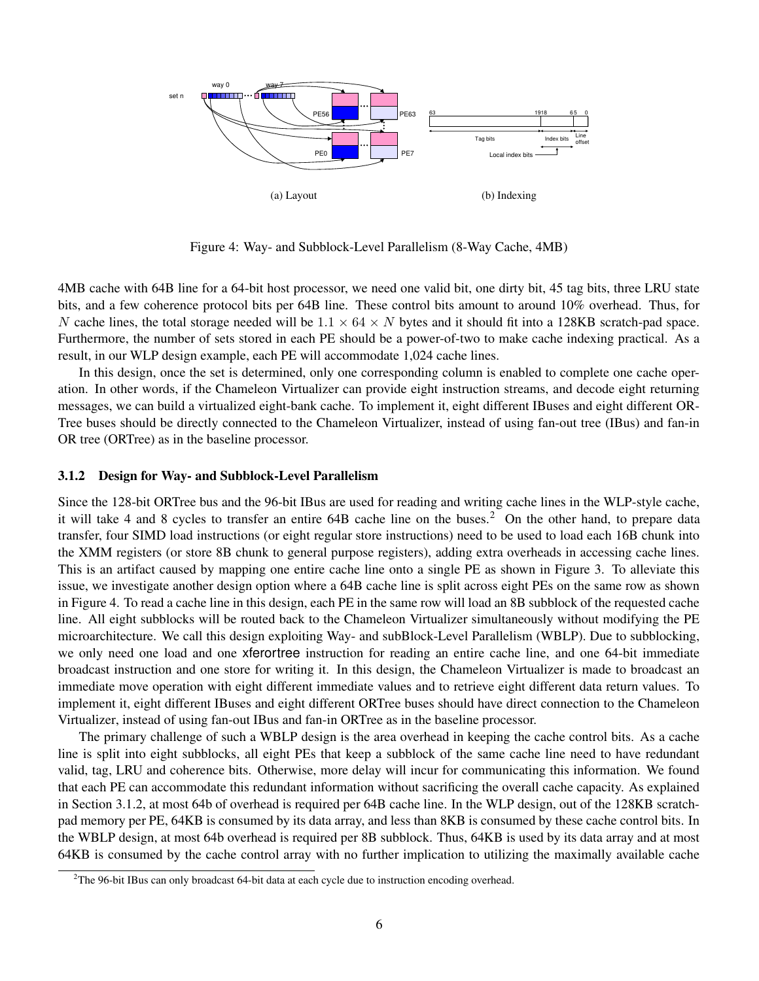

Figure 4: Way- and Subblock-Level Parallelism (8-Way Cache, 4MB)

4MB cache with 64B line for a 64-bit host processor, we need one valid bit, one dirty bit, 45 tag bits, three LRU state bits, and a few coherence protocol bits per 64B line. These control bits amount to around 10% overhead. Thus, for N cache lines, the total storage needed will be  $1.1 \times 64 \times N$  bytes and it should fit into a 128KB scratch-pad space. Furthermore, the number of sets stored in each PE should be a power-of-two to make cache indexing practical. As a result, in our WLP design example, each PE will accommodate 1,024 cache lines.

In this design, once the set is determined, only one corresponding column is enabled to complete one cache operation. In other words, if the Chameleon Virtualizer can provide eight instruction streams, and decode eight returning messages, we can build a virtualized eight-bank cache. To implement it, eight different IBuses and eight different OR-Tree buses should be directly connected to the Chameleon Virtualizer, instead of using fan-out tree (IBus) and fan-in OR tree (ORTree) as in the baseline processor.

## **3.1.2 Design for Way- and Subblock-Level Parallelism**

Since the 128-bit ORTree bus and the 96-bit IBus are used for reading and writing cache lines in the WLP-style cache, it will take 4 and 8 cycles to transfer an entire 64B cache line on the buses.<sup>2</sup> On the other hand, to prepare data transfer, four SIMD load instructions (or eight regular store instructions) need to be used to load each 16B chunk into the XMM registers (or store 8B chunk to general purpose registers), adding extra overheads in accessing cache lines. This is an artifact caused by mapping one entire cache line onto a single PE as shown in Figure 3. To alleviate this issue, we investigate another design option where a 64B cache line is split across eight PEs on the same row as shown in Figure 4. To read a cache line in this design, each PE in the same row will load an 8B subblock of the requested cache line. All eight subblocks will be routed back to the Chameleon Virtualizer simultaneously without modifying the PE microarchitecture. We call this design exploiting Way- and subBlock-Level Parallelism (WBLP). Due to subblocking, we only need one load and one xferortree instruction for reading an entire cache line, and one 64-bit immediate broadcast instruction and one store for writing it. In this design, the Chameleon Virtualizer is made to broadcast an immediate move operation with eight different immediate values and to retrieve eight different data return values. To implement it, eight different IBuses and eight different ORTree buses should have direct connection to the Chameleon Virtualizer, instead of using fan-out IBus and fan-in ORTree as in the baseline processor.

The primary challenge of such a WBLP design is the area overhead in keeping the cache control bits. As a cache line is split into eight subblocks, all eight PEs that keep a subblock of the same cache line need to have redundant valid, tag, LRU and coherence bits. Otherwise, more delay will incur for communicating this information. We found that each PE can accommodate this redundant information without sacrificing the overall cache capacity. As explained in Section 3.1.2, at most 64b of overhead is required per 64B cache line. In the WLP design, out of the 128KB scratchpad memory per PE, 64KB is consumed by its data array, and less than 8KB is consumed by these cache control bits. In the WBLP design, at most 64b overhead is required per 8B subblock. Thus, 64KB is used by its data array and at most 64KB is consumed by the cache control array with no further implication to utilizing the maximally available cache

 $2$ The 96-bit IBus can only broadcast 64-bit data at each cycle due to instruction encoding overhead.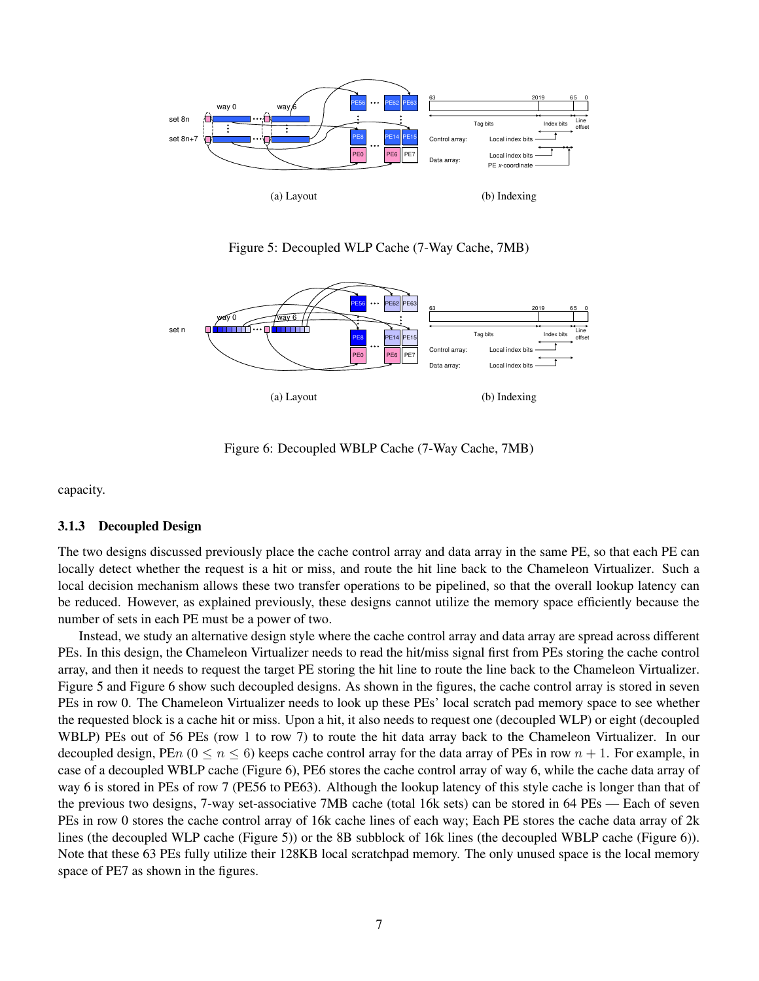

Figure 5: Decoupled WLP Cache (7-Way Cache, 7MB)



Figure 6: Decoupled WBLP Cache (7-Way Cache, 7MB)

capacity.

#### **3.1.3 Decoupled Design**

The two designs discussed previously place the cache control array and data array in the same PE, so that each PE can locally detect whether the request is a hit or miss, and route the hit line back to the Chameleon Virtualizer. Such a local decision mechanism allows these two transfer operations to be pipelined, so that the overall lookup latency can be reduced. However, as explained previously, these designs cannot utilize the memory space efficiently because the number of sets in each PE must be a power of two.

Instead, we study an alternative design style where the cache control array and data array are spread across different PEs. In this design, the Chameleon Virtualizer needs to read the hit/miss signal first from PEs storing the cache control array, and then it needs to request the target PE storing the hit line to route the line back to the Chameleon Virtualizer. Figure 5 and Figure 6 show such decoupled designs. As shown in the figures, the cache control array is stored in seven PEs in row 0. The Chameleon Virtualizer needs to look up these PEs' local scratch pad memory space to see whether the requested block is a cache hit or miss. Upon a hit, it also needs to request one (decoupled WLP) or eight (decoupled WBLP) PEs out of 56 PEs (row 1 to row 7) to route the hit data array back to the Chameleon Virtualizer. In our decoupled design, PEn  $(0 \le n \le 6)$  keeps cache control array for the data array of PEs in row  $n + 1$ . For example, in case of a decoupled WBLP cache (Figure 6), PE6 stores the cache control array of way 6, while the cache data array of way 6 is stored in PEs of row 7 (PE56 to PE63). Although the lookup latency of this style cache is longer than that of the previous two designs, 7-way set-associative 7MB cache (total 16k sets) can be stored in 64 PEs — Each of seven PEs in row 0 stores the cache control array of 16k cache lines of each way; Each PE stores the cache data array of 2k lines (the decoupled WLP cache (Figure 5)) or the 8B subblock of 16k lines (the decoupled WBLP cache (Figure 6)). Note that these 63 PEs fully utilize their 128KB local scratchpad memory. The only unused space is the local memory space of PE7 as shown in the figures.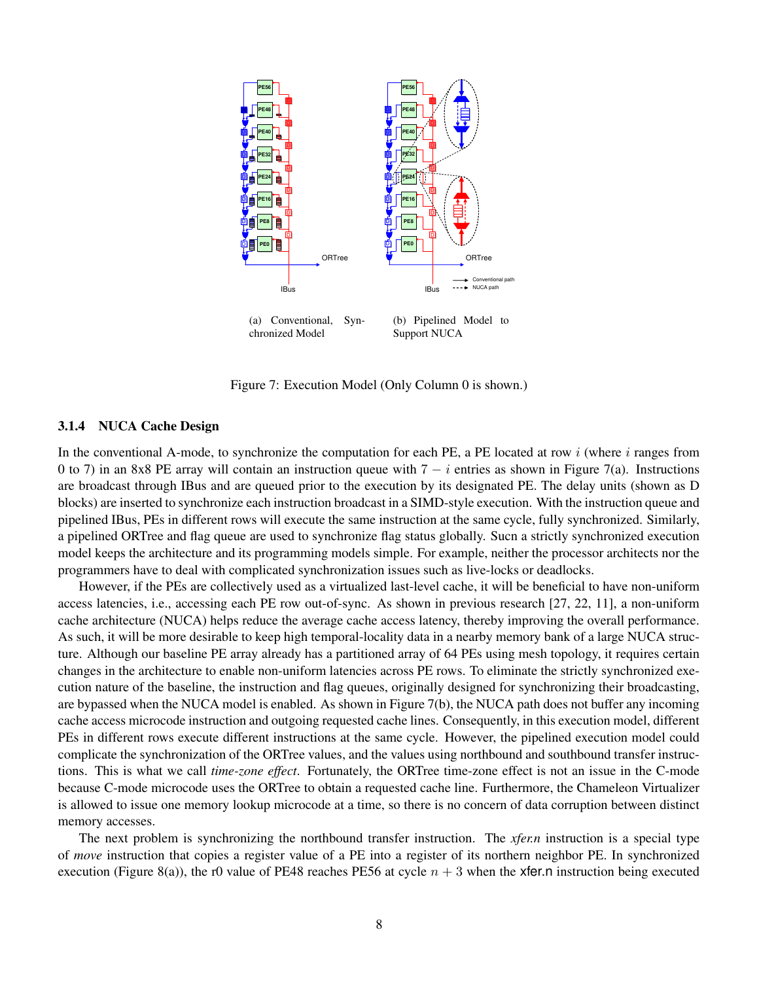

Figure 7: Execution Model (Only Column 0 is shown.)

#### **3.1.4 NUCA Cache Design**

In the conventional A-mode, to synchronize the computation for each PE, a PE located at row  $i$  (where  $i$  ranges from 0 to 7) in an 8x8 PE array will contain an instruction queue with  $7 - i$  entries as shown in Figure 7(a). Instructions are broadcast through IBus and are queued prior to the execution by its designated PE. The delay units (shown as D blocks) are inserted to synchronize each instruction broadcast in a SIMD-style execution. With the instruction queue and pipelined IBus, PEs in different rows will execute the same instruction at the same cycle, fully synchronized. Similarly, a pipelined ORTree and flag queue are used to synchronize flag status globally. Sucn a strictly synchronized execution model keeps the architecture and its programming models simple. For example, neither the processor architects nor the programmers have to deal with complicated synchronization issues such as live-locks or deadlocks.

However, if the PEs are collectively used as a virtualized last-level cache, it will be beneficial to have non-uniform access latencies, i.e., accessing each PE row out-of-sync. As shown in previous research [27, 22, 11], a non-uniform cache architecture (NUCA) helps reduce the average cache access latency, thereby improving the overall performance. As such, it will be more desirable to keep high temporal-locality data in a nearby memory bank of a large NUCA structure. Although our baseline PE array already has a partitioned array of 64 PEs using mesh topology, it requires certain changes in the architecture to enable non-uniform latencies across PE rows. To eliminate the strictly synchronized execution nature of the baseline, the instruction and flag queues, originally designed for synchronizing their broadcasting, are bypassed when the NUCA model is enabled. As shown in Figure 7(b), the NUCA path does not buffer any incoming cache access microcode instruction and outgoing requested cache lines. Consequently, in this execution model, different PEs in different rows execute different instructions at the same cycle. However, the pipelined execution model could complicate the synchronization of the ORTree values, and the values using northbound and southbound transfer instructions. This is what we call *time-zone effect*. Fortunately, the ORTree time-zone effect is not an issue in the C-mode because C-mode microcode uses the ORTree to obtain a requested cache line. Furthermore, the Chameleon Virtualizer is allowed to issue one memory lookup microcode at a time, so there is no concern of data corruption between distinct memory accesses.

The next problem is synchronizing the northbound transfer instruction. The *xfer.n* instruction is a special type of *move* instruction that copies a register value of a PE into a register of its northern neighbor PE. In synchronized execution (Figure 8(a)), the r0 value of PE48 reaches PE56 at cycle  $n + 3$  when the xfer.n instruction being executed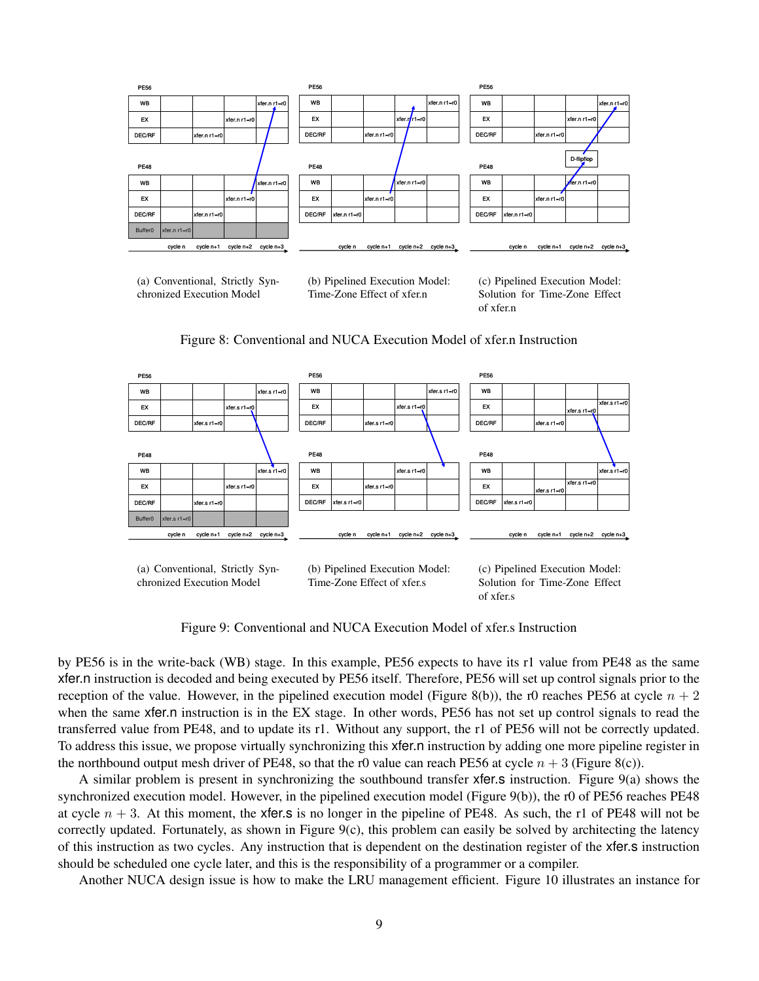

(a) Conventional, Strictly Synchronized Execution Model

(b) Pipelined Execution Model: Time-Zone Effect of xfer.n

(c) Pipelined Execution Model: Solution for Time-Zone Effect of xfer.n

Figure 8: Conventional and NUCA Execution Model of xfer.n Instruction



Figure 9: Conventional and NUCA Execution Model of xfer.s Instruction

by PE56 is in the write-back (WB) stage. In this example, PE56 expects to have its r1 value from PE48 as the same xfer.n instruction is decoded and being executed by PE56 itself. Therefore, PE56 will set up control signals prior to the reception of the value. However, in the pipelined execution model (Figure 8(b)), the r0 reaches PE56 at cycle  $n + 2$ when the same xfer.n instruction is in the EX stage. In other words, PE56 has not set up control signals to read the transferred value from PE48, and to update its r1. Without any support, the r1 of PE56 will not be correctly updated. To address this issue, we propose virtually synchronizing this xfer.n instruction by adding one more pipeline register in the northbound output mesh driver of PE48, so that the r0 value can reach PE56 at cycle  $n + 3$  (Figure 8(c)).

A similar problem is present in synchronizing the southbound transfer xfer.s instruction. Figure 9(a) shows the synchronized execution model. However, in the pipelined execution model (Figure 9(b)), the r0 of PE56 reaches PE48 at cycle  $n + 3$ . At this moment, the xfer.s is no longer in the pipeline of PE48. As such, the r1 of PE48 will not be correctly updated. Fortunately, as shown in Figure  $9(c)$ , this problem can easily be solved by architecting the latency of this instruction as two cycles. Any instruction that is dependent on the destination register of the xfer.s instruction should be scheduled one cycle later, and this is the responsibility of a programmer or a compiler.

Another NUCA design issue is how to make the LRU management efficient. Figure 10 illustrates an instance for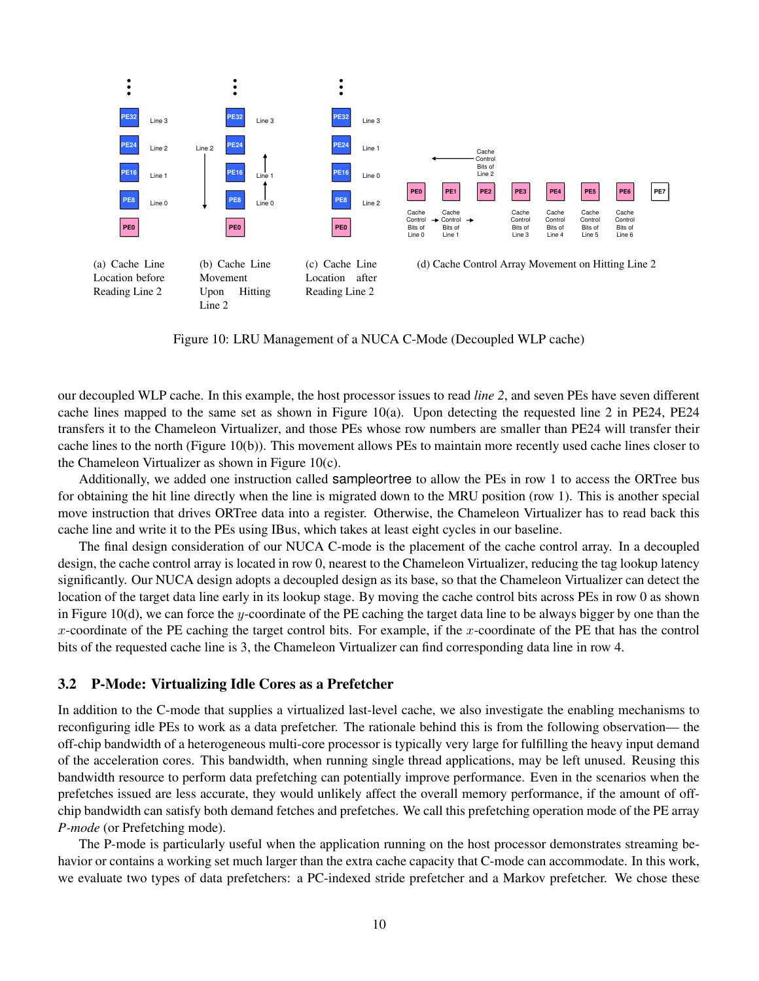

Figure 10: LRU Management of a NUCA C-Mode (Decoupled WLP cache)

our decoupled WLP cache. In this example, the host processor issues to read *line 2*, and seven PEs have seven different cache lines mapped to the same set as shown in Figure 10(a). Upon detecting the requested line 2 in PE24, PE24 transfers it to the Chameleon Virtualizer, and those PEs whose row numbers are smaller than PE24 will transfer their cache lines to the north (Figure 10(b)). This movement allows PEs to maintain more recently used cache lines closer to the Chameleon Virtualizer as shown in Figure 10(c).

Additionally, we added one instruction called sampleortree to allow the PEs in row 1 to access the ORTree bus for obtaining the hit line directly when the line is migrated down to the MRU position (row 1). This is another special move instruction that drives ORTree data into a register. Otherwise, the Chameleon Virtualizer has to read back this cache line and write it to the PEs using IBus, which takes at least eight cycles in our baseline.

The final design consideration of our NUCA C-mode is the placement of the cache control array. In a decoupled design, the cache control array is located in row 0, nearest to the Chameleon Virtualizer, reducing the tag lookup latency significantly. Our NUCA design adopts a decoupled design as its base, so that the Chameleon Virtualizer can detect the location of the target data line early in its lookup stage. By moving the cache control bits across PEs in row 0 as shown in Figure 10(d), we can force the y-coordinate of the PE caching the target data line to be always bigger by one than the x-coordinate of the PE caching the target control bits. For example, if the x-coordinate of the PE that has the control bits of the requested cache line is 3, the Chameleon Virtualizer can find corresponding data line in row 4.

## **3.2 P-Mode: Virtualizing Idle Cores as a Prefetcher**

In addition to the C-mode that supplies a virtualized last-level cache, we also investigate the enabling mechanisms to reconfiguring idle PEs to work as a data prefetcher. The rationale behind this is from the following observation— the off-chip bandwidth of a heterogeneous multi-core processor is typically very large for fulfilling the heavy input demand of the acceleration cores. This bandwidth, when running single thread applications, may be left unused. Reusing this bandwidth resource to perform data prefetching can potentially improve performance. Even in the scenarios when the prefetches issued are less accurate, they would unlikely affect the overall memory performance, if the amount of offchip bandwidth can satisfy both demand fetches and prefetches. We call this prefetching operation mode of the PE array *P-mode* (or Prefetching mode).

The P-mode is particularly useful when the application running on the host processor demonstrates streaming behavior or contains a working set much larger than the extra cache capacity that C-mode can accommodate. In this work, we evaluate two types of data prefetchers: a PC-indexed stride prefetcher and a Markov prefetcher. We chose these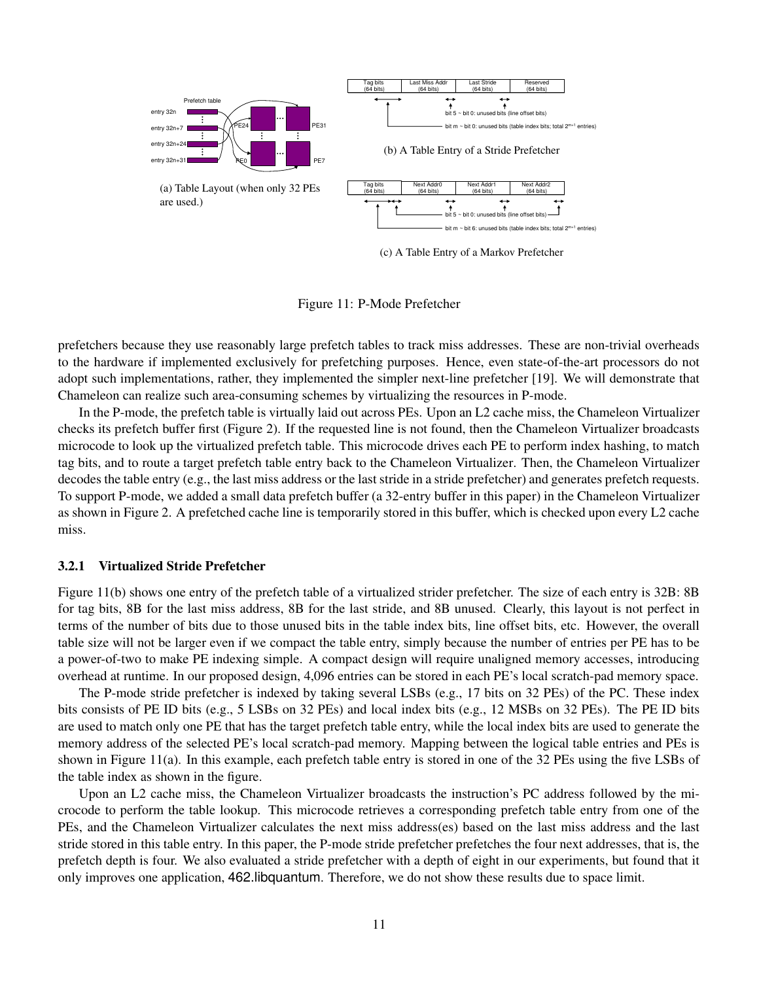

(c) A Table Entry of a Markov Prefetcher

Figure 11: P-Mode Prefetcher

prefetchers because they use reasonably large prefetch tables to track miss addresses. These are non-trivial overheads to the hardware if implemented exclusively for prefetching purposes. Hence, even state-of-the-art processors do not adopt such implementations, rather, they implemented the simpler next-line prefetcher [19]. We will demonstrate that Chameleon can realize such area-consuming schemes by virtualizing the resources in P-mode.

In the P-mode, the prefetch table is virtually laid out across PEs. Upon an L2 cache miss, the Chameleon Virtualizer checks its prefetch buffer first (Figure 2). If the requested line is not found, then the Chameleon Virtualizer broadcasts microcode to look up the virtualized prefetch table. This microcode drives each PE to perform index hashing, to match tag bits, and to route a target prefetch table entry back to the Chameleon Virtualizer. Then, the Chameleon Virtualizer decodes the table entry (e.g., the last miss address or the last stride in a stride prefetcher) and generates prefetch requests. To support P-mode, we added a small data prefetch buffer (a 32-entry buffer in this paper) in the Chameleon Virtualizer as shown in Figure 2. A prefetched cache line is temporarily stored in this buffer, which is checked upon every L2 cache miss.

#### **3.2.1 Virtualized Stride Prefetcher**

Figure 11(b) shows one entry of the prefetch table of a virtualized strider prefetcher. The size of each entry is 32B: 8B for tag bits, 8B for the last miss address, 8B for the last stride, and 8B unused. Clearly, this layout is not perfect in terms of the number of bits due to those unused bits in the table index bits, line offset bits, etc. However, the overall table size will not be larger even if we compact the table entry, simply because the number of entries per PE has to be a power-of-two to make PE indexing simple. A compact design will require unaligned memory accesses, introducing overhead at runtime. In our proposed design, 4,096 entries can be stored in each PE's local scratch-pad memory space.

The P-mode stride prefetcher is indexed by taking several LSBs (e.g., 17 bits on 32 PEs) of the PC. These index bits consists of PE ID bits (e.g., 5 LSBs on 32 PEs) and local index bits (e.g., 12 MSBs on 32 PEs). The PE ID bits are used to match only one PE that has the target prefetch table entry, while the local index bits are used to generate the memory address of the selected PE's local scratch-pad memory. Mapping between the logical table entries and PEs is shown in Figure 11(a). In this example, each prefetch table entry is stored in one of the 32 PEs using the five LSBs of the table index as shown in the figure.

Upon an L2 cache miss, the Chameleon Virtualizer broadcasts the instruction's PC address followed by the microcode to perform the table lookup. This microcode retrieves a corresponding prefetch table entry from one of the PEs, and the Chameleon Virtualizer calculates the next miss address(es) based on the last miss address and the last stride stored in this table entry. In this paper, the P-mode stride prefetcher prefetches the four next addresses, that is, the prefetch depth is four. We also evaluated a stride prefetcher with a depth of eight in our experiments, but found that it only improves one application, 462.libquantum. Therefore, we do not show these results due to space limit.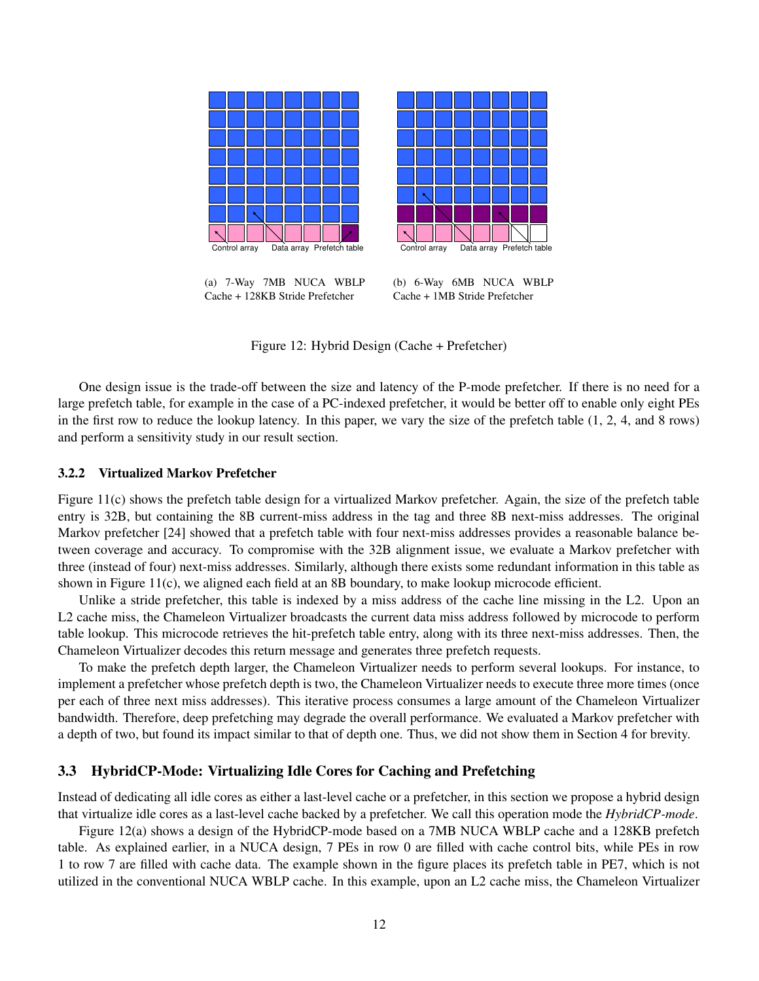

Figure 12: Hybrid Design (Cache + Prefetcher)

One design issue is the trade-off between the size and latency of the P-mode prefetcher. If there is no need for a large prefetch table, for example in the case of a PC-indexed prefetcher, it would be better off to enable only eight PEs in the first row to reduce the lookup latency. In this paper, we vary the size of the prefetch table (1, 2, 4, and 8 rows) and perform a sensitivity study in our result section.

#### **3.2.2 Virtualized Markov Prefetcher**

Figure 11(c) shows the prefetch table design for a virtualized Markov prefetcher. Again, the size of the prefetch table entry is 32B, but containing the 8B current-miss address in the tag and three 8B next-miss addresses. The original Markov prefetcher [24] showed that a prefetch table with four next-miss addresses provides a reasonable balance between coverage and accuracy. To compromise with the 32B alignment issue, we evaluate a Markov prefetcher with three (instead of four) next-miss addresses. Similarly, although there exists some redundant information in this table as shown in Figure 11(c), we aligned each field at an 8B boundary, to make lookup microcode efficient.

Unlike a stride prefetcher, this table is indexed by a miss address of the cache line missing in the L2. Upon an L2 cache miss, the Chameleon Virtualizer broadcasts the current data miss address followed by microcode to perform table lookup. This microcode retrieves the hit-prefetch table entry, along with its three next-miss addresses. Then, the Chameleon Virtualizer decodes this return message and generates three prefetch requests.

To make the prefetch depth larger, the Chameleon Virtualizer needs to perform several lookups. For instance, to implement a prefetcher whose prefetch depth is two, the Chameleon Virtualizer needs to execute three more times (once per each of three next miss addresses). This iterative process consumes a large amount of the Chameleon Virtualizer bandwidth. Therefore, deep prefetching may degrade the overall performance. We evaluated a Markov prefetcher with a depth of two, but found its impact similar to that of depth one. Thus, we did not show them in Section 4 for brevity.

## **3.3 HybridCP-Mode: Virtualizing Idle Cores for Caching and Prefetching**

Instead of dedicating all idle cores as either a last-level cache or a prefetcher, in this section we propose a hybrid design that virtualize idle cores as a last-level cache backed by a prefetcher. We call this operation mode the *HybridCP-mode*.

Figure 12(a) shows a design of the HybridCP-mode based on a 7MB NUCA WBLP cache and a 128KB prefetch table. As explained earlier, in a NUCA design, 7 PEs in row 0 are filled with cache control bits, while PEs in row 1 to row 7 are filled with cache data. The example shown in the figure places its prefetch table in PE7, which is not utilized in the conventional NUCA WBLP cache. In this example, upon an L2 cache miss, the Chameleon Virtualizer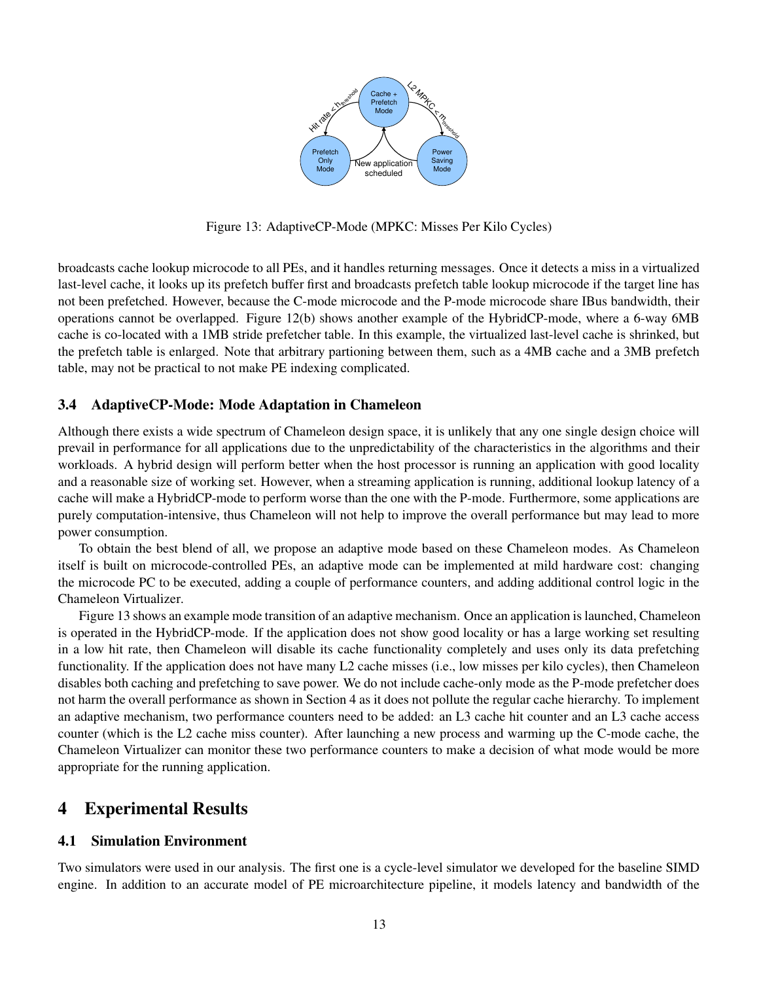

Figure 13: AdaptiveCP-Mode (MPKC: Misses Per Kilo Cycles)

broadcasts cache lookup microcode to all PEs, and it handles returning messages. Once it detects a miss in a virtualized last-level cache, it looks up its prefetch buffer first and broadcasts prefetch table lookup microcode if the target line has not been prefetched. However, because the C-mode microcode and the P-mode microcode share IBus bandwidth, their operations cannot be overlapped. Figure 12(b) shows another example of the HybridCP-mode, where a 6-way 6MB cache is co-located with a 1MB stride prefetcher table. In this example, the virtualized last-level cache is shrinked, but the prefetch table is enlarged. Note that arbitrary partioning between them, such as a 4MB cache and a 3MB prefetch table, may not be practical to not make PE indexing complicated.

## **3.4 AdaptiveCP-Mode: Mode Adaptation in Chameleon**

Although there exists a wide spectrum of Chameleon design space, it is unlikely that any one single design choice will prevail in performance for all applications due to the unpredictability of the characteristics in the algorithms and their workloads. A hybrid design will perform better when the host processor is running an application with good locality and a reasonable size of working set. However, when a streaming application is running, additional lookup latency of a cache will make a HybridCP-mode to perform worse than the one with the P-mode. Furthermore, some applications are purely computation-intensive, thus Chameleon will not help to improve the overall performance but may lead to more power consumption.

To obtain the best blend of all, we propose an adaptive mode based on these Chameleon modes. As Chameleon itself is built on microcode-controlled PEs, an adaptive mode can be implemented at mild hardware cost: changing the microcode PC to be executed, adding a couple of performance counters, and adding additional control logic in the Chameleon Virtualizer.

Figure 13 shows an example mode transition of an adaptive mechanism. Once an application islaunched, Chameleon is operated in the HybridCP-mode. If the application does not show good locality or has a large working set resulting in a low hit rate, then Chameleon will disable its cache functionality completely and uses only its data prefetching functionality. If the application does not have many L2 cache misses (i.e., low misses per kilo cycles), then Chameleon disables both caching and prefetching to save power. We do not include cache-only mode as the P-mode prefetcher does not harm the overall performance as shown in Section 4 as it does not pollute the regular cache hierarchy. To implement an adaptive mechanism, two performance counters need to be added: an L3 cache hit counter and an L3 cache access counter (which is the L2 cache miss counter). After launching a new process and warming up the C-mode cache, the Chameleon Virtualizer can monitor these two performance counters to make a decision of what mode would be more appropriate for the running application.

# **4 Experimental Results**

## **4.1 Simulation Environment**

Two simulators were used in our analysis. The first one is a cycle-level simulator we developed for the baseline SIMD engine. In addition to an accurate model of PE microarchitecture pipeline, it models latency and bandwidth of the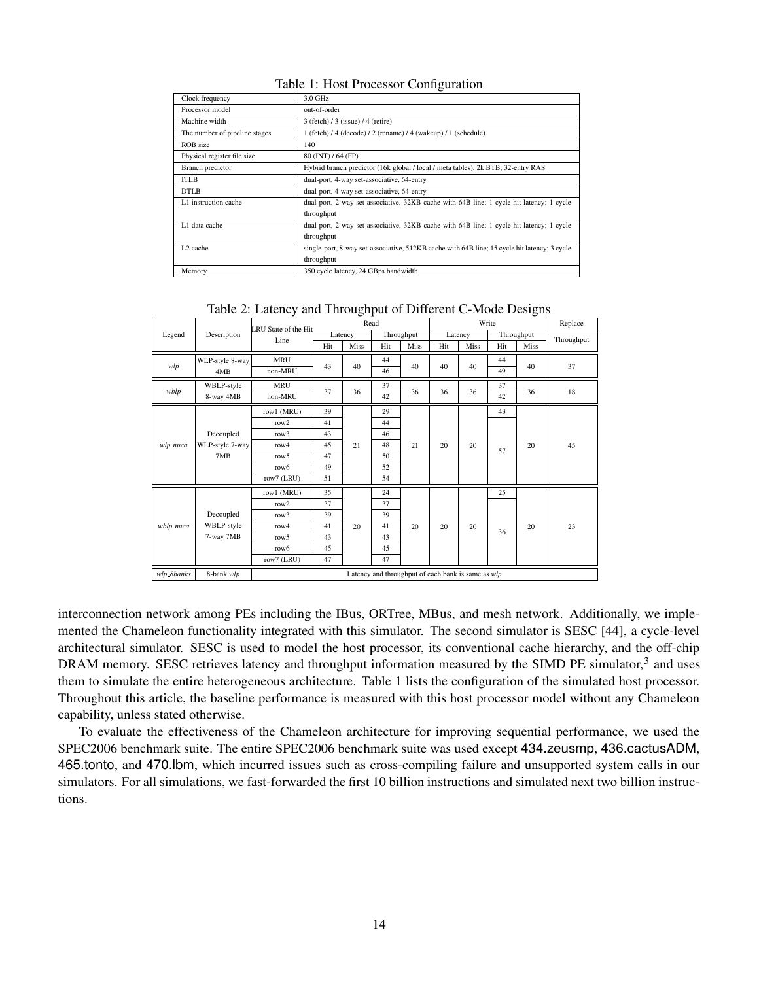### Table 1: Host Processor Configuration

| Clock frequency               | 3.0 GHz                                                                                      |
|-------------------------------|----------------------------------------------------------------------------------------------|
| Processor model               | out-of-order                                                                                 |
| Machine width                 | 3 (fetch) / 3 (issue) / 4 (retire)                                                           |
| The number of pipeline stages | 1 (fetch) / 4 (decode) / 2 (rename) / 4 (wakeup) / 1 (schedule)                              |
| ROB size                      | 140                                                                                          |
| Physical register file size   | 80 (INT) / 64 (FP)                                                                           |
| Branch predictor              | Hybrid branch predictor (16k global / local / meta tables), 2k BTB, 32-entry RAS             |
| <b>ITLB</b>                   | dual-port, 4-way set-associative, 64-entry                                                   |
| DTLB                          | dual-port, 4-way set-associative, 64-entry                                                   |
| L1 instruction cache          | dual-port, 2-way set-associative, 32KB cache with 64B line; 1 cycle hit latency; 1 cycle     |
|                               | throughput                                                                                   |
| L1 data cache                 | dual-port, 2-way set-associative, 32KB cache with 64B line; 1 cycle hit latency; 1 cycle     |
|                               | throughput                                                                                   |
| L <sub>2</sub> cache          | single-port, 8-way set-associative, 512KB cache with 64B line; 15 cycle hit latency; 3 cycle |
|                               | throughput                                                                                   |
| Memory                        | 350 cycle latency, 24 GBps bandwidth                                                         |

## Table 2: Latency and Throughput of Different C-Mode Designs

|            |                                     | LRU State of the Hit                               | Read    |      |            | Write |         |      |            | Replace |            |
|------------|-------------------------------------|----------------------------------------------------|---------|------|------------|-------|---------|------|------------|---------|------------|
| Legend     | Description                         | Line                                               | Latency |      | Throughput |       | Latency |      | Throughput |         | Throughput |
|            |                                     |                                                    | Hit     | Miss | Hit        | Miss  | Hit     | Miss | Hit        | Miss    |            |
|            | WLP-style 8-way                     | <b>MRU</b>                                         |         |      | 44         |       |         |      | 44         |         |            |
| wlp        | 4MB                                 | non-MRU                                            | 43      | 40   | 46         | 40    | 40      | 40   | 49         | 40      | 37         |
|            | WBLP-style                          | <b>MRU</b>                                         |         |      | 37         |       |         |      | 37         |         |            |
| wblp       | 8-way 4MB                           | non-MRU                                            | 37      | 36   | 42         | 36    | 36      | 36   | 42         | 36      | 18         |
|            |                                     | row1 (MRU)                                         | 39      |      | 29         |       |         |      | 43         |         |            |
|            | Decoupled<br>WLP-style 7-way<br>7MB | row <sub>2</sub>                                   | 41      | 21   | 44         |       |         | 20   | 57         | 20      | 45         |
|            |                                     | row3                                               | 43      |      | 46         |       |         |      |            |         |            |
| wlp nuca   |                                     | row4                                               | 45      |      | 48         | 21    | 20      |      |            |         |            |
|            |                                     | row5                                               | 47      |      | 50         |       |         |      |            |         |            |
|            |                                     | row6                                               | 49      |      | 52         |       |         |      |            |         |            |
|            |                                     | row7 (LRU)                                         | 51      |      | 54         |       |         |      |            |         |            |
|            |                                     | row1 (MRU)                                         | 35      |      | 24         |       |         |      | 25         |         |            |
|            | Decoupled                           | row2                                               | 37      |      | 37         |       | 20      | 20   |            | 20      |            |
| wblp_nuca  |                                     | row3                                               | 39      |      | 39         |       |         |      | 36         |         |            |
|            | WBLP-style                          | row4                                               | 41      | 20   | 41         | 20    |         |      |            |         | 23         |
|            | 7-way 7MB                           | row5                                               | 43      |      | 43         |       |         |      |            |         |            |
|            |                                     | row6                                               | 45      |      | 45         |       |         |      |            |         |            |
|            |                                     | row7 (LRU)                                         | 47      |      | 47         |       |         |      |            |         |            |
| wlp_8banks | 8-bank wlp                          | Latency and throughput of each bank is same as wlp |         |      |            |       |         |      |            |         |            |

interconnection network among PEs including the IBus, ORTree, MBus, and mesh network. Additionally, we implemented the Chameleon functionality integrated with this simulator. The second simulator is SESC [44], a cycle-level architectural simulator. SESC is used to model the host processor, its conventional cache hierarchy, and the off-chip DRAM memory. SESC retrieves latency and throughput information measured by the SIMD PE simulator,<sup>3</sup> and uses them to simulate the entire heterogeneous architecture. Table 1 lists the configuration of the simulated host processor. Throughout this article, the baseline performance is measured with this host processor model without any Chameleon capability, unless stated otherwise.

To evaluate the effectiveness of the Chameleon architecture for improving sequential performance, we used the SPEC2006 benchmark suite. The entire SPEC2006 benchmark suite was used except 434.zeusmp, 436.cactusADM, 465.tonto, and 470.lbm, which incurred issues such as cross-compiling failure and unsupported system calls in our simulators. For all simulations, we fast-forwarded the first 10 billion instructions and simulated next two billion instructions.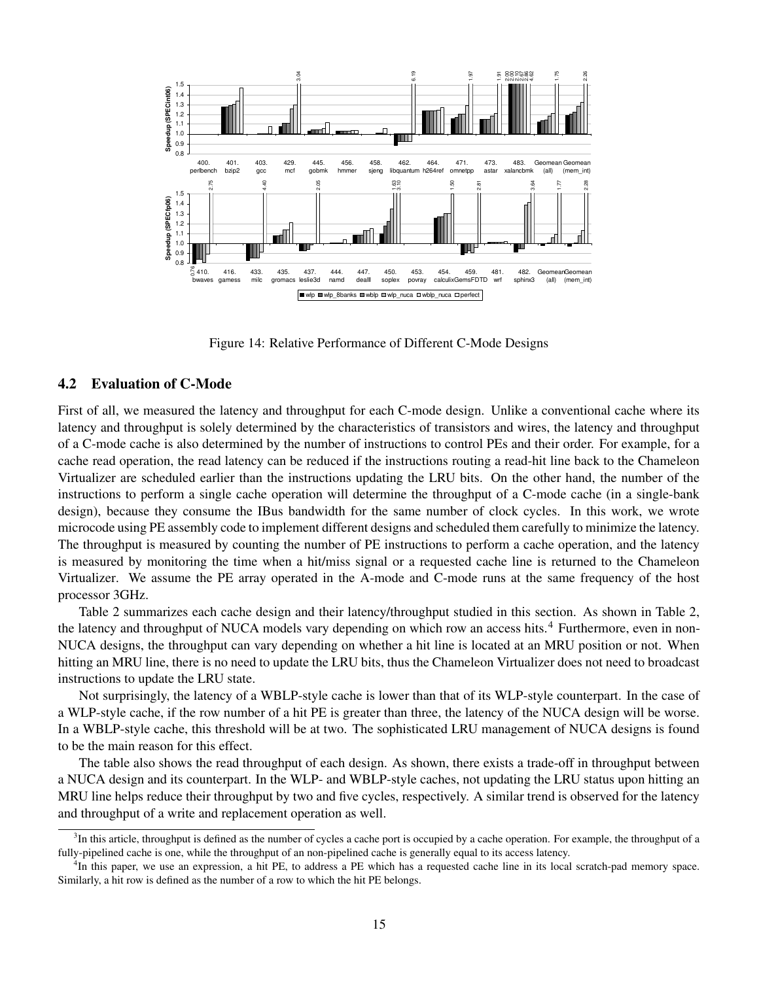

Figure 14: Relative Performance of Different C-Mode Designs

## **4.2 Evaluation of C-Mode**

First of all, we measured the latency and throughput for each C-mode design. Unlike a conventional cache where its latency and throughput is solely determined by the characteristics of transistors and wires, the latency and throughput of a C-mode cache is also determined by the number of instructions to control PEs and their order. For example, for a cache read operation, the read latency can be reduced if the instructions routing a read-hit line back to the Chameleon Virtualizer are scheduled earlier than the instructions updating the LRU bits. On the other hand, the number of the instructions to perform a single cache operation will determine the throughput of a C-mode cache (in a single-bank design), because they consume the IBus bandwidth for the same number of clock cycles. In this work, we wrote microcode using PE assembly code to implement different designs and scheduled them carefully to minimize the latency. The throughput is measured by counting the number of PE instructions to perform a cache operation, and the latency is measured by monitoring the time when a hit/miss signal or a requested cache line is returned to the Chameleon Virtualizer. We assume the PE array operated in the A-mode and C-mode runs at the same frequency of the host processor 3GHz.

Table 2 summarizes each cache design and their latency/throughput studied in this section. As shown in Table 2, the latency and throughput of NUCA models vary depending on which row an access hits.<sup>4</sup> Furthermore, even in non-NUCA designs, the throughput can vary depending on whether a hit line is located at an MRU position or not. When hitting an MRU line, there is no need to update the LRU bits, thus the Chameleon Virtualizer does not need to broadcast instructions to update the LRU state.

Not surprisingly, the latency of a WBLP-style cache is lower than that of its WLP-style counterpart. In the case of a WLP-style cache, if the row number of a hit PE is greater than three, the latency of the NUCA design will be worse. In a WBLP-style cache, this threshold will be at two. The sophisticated LRU management of NUCA designs is found to be the main reason for this effect.

The table also shows the read throughput of each design. As shown, there exists a trade-off in throughput between a NUCA design and its counterpart. In the WLP- and WBLP-style caches, not updating the LRU status upon hitting an MRU line helps reduce their throughput by two and five cycles, respectively. A similar trend is observed for the latency and throughput of a write and replacement operation as well.

 ${}^{3}$ In this article, throughput is defined as the number of cycles a cache port is occupied by a cache operation. For example, the throughput of a fully-pipelined cache is one, while the throughput of an non-pipelined cache is generally equal to its access latency.

<sup>&</sup>lt;sup>4</sup>In this paper, we use an expression, a hit PE, to address a PE which has a requested cache line in its local scratch-pad memory space. Similarly, a hit row is defined as the number of a row to which the hit PE belongs.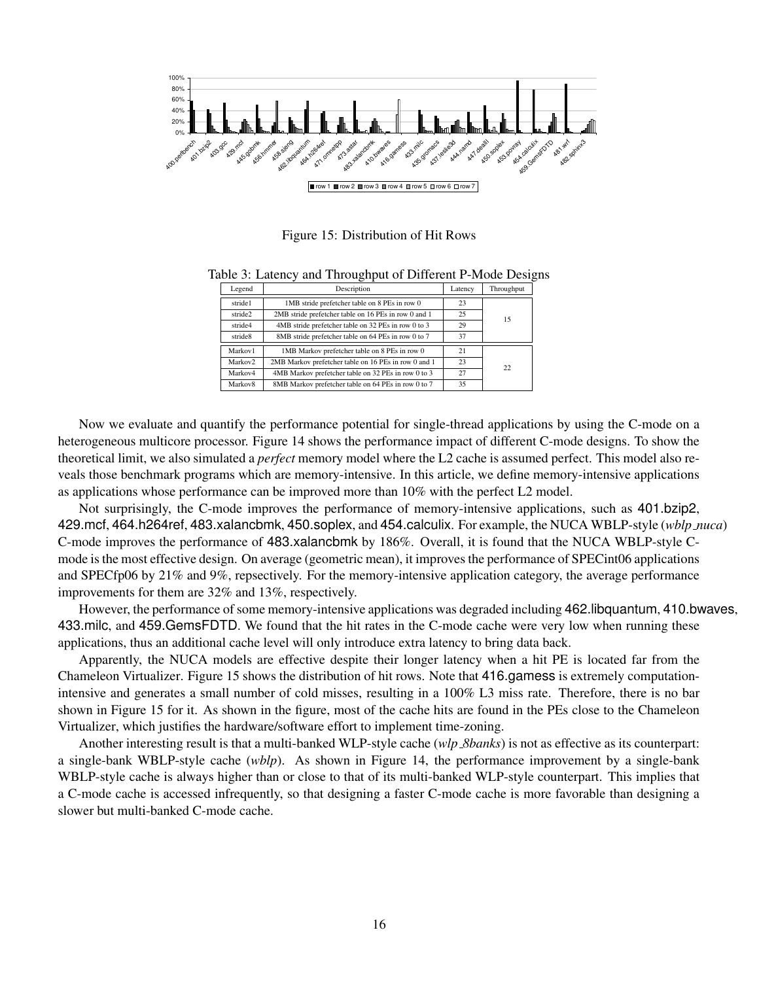

Figure 15: Distribution of Hit Rows

|  |  |  | Table 3: Latency and Throughput of Different P-Mode Designs |  |  |
|--|--|--|-------------------------------------------------------------|--|--|
|  |  |  |                                                             |  |  |

| Legend              | Description                                          | Latency | Throughput |  |  |
|---------------------|------------------------------------------------------|---------|------------|--|--|
| stride1             | 1MB stride prefetcher table on 8 PEs in row 0        | 23      |            |  |  |
| stride2             | 2MB stride prefetcher table on 16 PEs in row 0 and 1 | 25      | 15         |  |  |
| stride4             | 4MB stride prefetcher table on 32 PEs in row 0 to 3  | 29      |            |  |  |
| stride8             | 8MB stride prefetcher table on 64 PEs in row 0 to 7  | 37      |            |  |  |
| Markov1             | 1MB Markov prefetcher table on 8 PEs in row 0        | 21      |            |  |  |
| Markov2             | 2MB Markov prefetcher table on 16 PEs in row 0 and 1 | 23      | 22         |  |  |
| Markov4             | 4MB Markov prefetcher table on 32 PEs in row 0 to 3  |         |            |  |  |
| Markov <sub>8</sub> | 8MB Markov prefetcher table on 64 PEs in row 0 to 7  | 35      |            |  |  |

Now we evaluate and quantify the performance potential for single-thread applications by using the C-mode on a heterogeneous multicore processor. Figure 14 shows the performance impact of different C-mode designs. To show the theoretical limit, we also simulated a *perfect* memory model where the L2 cache is assumed perfect. This model also reveals those benchmark programs which are memory-intensive. In this article, we define memory-intensive applications as applications whose performance can be improved more than 10% with the perfect L2 model.

Not surprisingly, the C-mode improves the performance of memory-intensive applications, such as 401.bzip2, 429.mcf, 464.h264ref, 483.xalancbmk, 450.soplex, and 454.calculix. For example, the NUCA WBLP-style (*wblp nuca*) C-mode improves the performance of 483.xalancbmk by 186%. Overall, it is found that the NUCA WBLP-style Cmode is the most effective design. On average (geometric mean), it improves the performance of SPECint06 applications and SPECfp06 by 21% and 9%, repsectively. For the memory-intensive application category, the average performance improvements for them are 32% and 13%, respectively.

However, the performance ofsome memory-intensive applications was degraded including 462.libquantum, 410.bwaves, 433.milc, and 459.GemsFDTD. We found that the hit rates in the C-mode cache were very low when running these applications, thus an additional cache level will only introduce extra latency to bring data back.

Apparently, the NUCA models are effective despite their longer latency when a hit PE is located far from the Chameleon Virtualizer. Figure 15 shows the distribution of hit rows. Note that 416.gamess is extremely computationintensive and generates a small number of cold misses, resulting in a 100% L3 miss rate. Therefore, there is no bar shown in Figure 15 for it. As shown in the figure, most of the cache hits are found in the PEs close to the Chameleon Virtualizer, which justifies the hardware/software effort to implement time-zoning.

Another interesting result is that a multi-banked WLP-style cache (*wlp 8banks*) is not as effective as its counterpart: a single-bank WBLP-style cache (*wblp*). As shown in Figure 14, the performance improvement by a single-bank WBLP-style cache is always higher than or close to that of its multi-banked WLP-style counterpart. This implies that a C-mode cache is accessed infrequently, so that designing a faster C-mode cache is more favorable than designing a slower but multi-banked C-mode cache.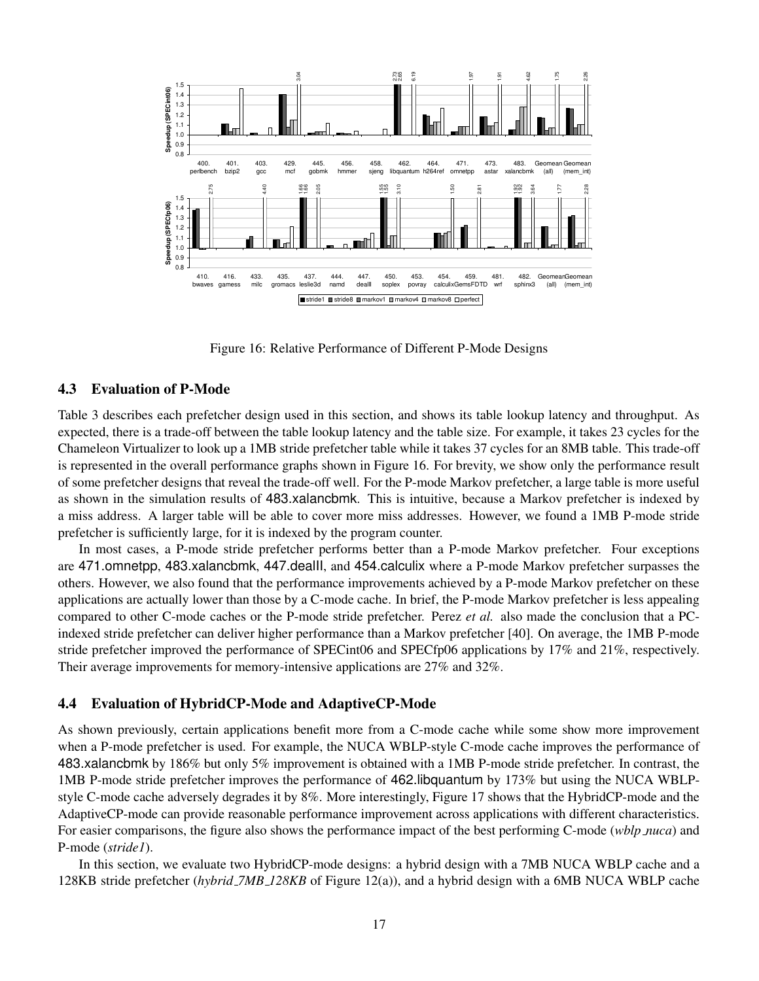

Figure 16: Relative Performance of Different P-Mode Designs

## **4.3 Evaluation of P-Mode**

Table 3 describes each prefetcher design used in this section, and shows its table lookup latency and throughput. As expected, there is a trade-off between the table lookup latency and the table size. For example, it takes 23 cycles for the Chameleon Virtualizer to look up a 1MB stride prefetcher table while it takes 37 cycles for an 8MB table. This trade-off is represented in the overall performance graphs shown in Figure 16. For brevity, we show only the performance result of some prefetcher designs that reveal the trade-off well. For the P-mode Markov prefetcher, a large table is more useful as shown in the simulation results of 483.xalancbmk. This is intuitive, because a Markov prefetcher is indexed by a miss address. A larger table will be able to cover more miss addresses. However, we found a 1MB P-mode stride prefetcher is sufficiently large, for it is indexed by the program counter.

In most cases, a P-mode stride prefetcher performs better than a P-mode Markov prefetcher. Four exceptions are 471.omnetpp, 483.xalancbmk, 447.dealII, and 454.calculix where a P-mode Markov prefetcher surpasses the others. However, we also found that the performance improvements achieved by a P-mode Markov prefetcher on these applications are actually lower than those by a C-mode cache. In brief, the P-mode Markov prefetcher is less appealing compared to other C-mode caches or the P-mode stride prefetcher. Perez *et al.* also made the conclusion that a PCindexed stride prefetcher can deliver higher performance than a Markov prefetcher [40]. On average, the 1MB P-mode stride prefetcher improved the performance of SPECint06 and SPECfp06 applications by 17% and 21%, respectively. Their average improvements for memory-intensive applications are 27% and 32%.

## **4.4 Evaluation of HybridCP-Mode and AdaptiveCP-Mode**

As shown previously, certain applications benefit more from a C-mode cache while some show more improvement when a P-mode prefetcher is used. For example, the NUCA WBLP-style C-mode cache improves the performance of 483.xalancbmk by 186% but only 5% improvement is obtained with a 1MB P-mode stride prefetcher. In contrast, the 1MB P-mode stride prefetcher improves the performance of 462.libquantum by 173% but using the NUCA WBLPstyle C-mode cache adversely degrades it by 8%. More interestingly, Figure 17 shows that the HybridCP-mode and the AdaptiveCP-mode can provide reasonable performance improvement across applications with different characteristics. For easier comparisons, the figure also shows the performance impact of the best performing C-mode (*wblp nuca*) and P-mode (*stride1*).

In this section, we evaluate two HybridCP-mode designs: a hybrid design with a 7MB NUCA WBLP cache and a 128KB stride prefetcher (*hybrid 7MB 128KB* of Figure 12(a)), and a hybrid design with a 6MB NUCA WBLP cache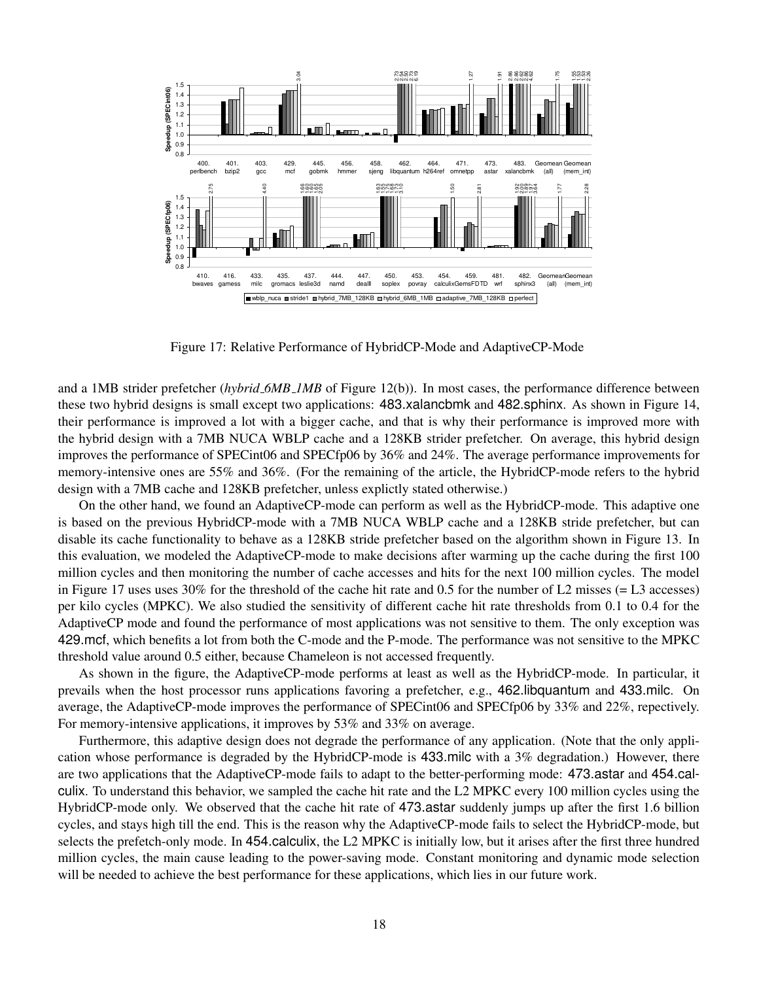

Figure 17: Relative Performance of HybridCP-Mode and AdaptiveCP-Mode

and a 1MB strider prefetcher (*hybrid 6MB 1MB* of Figure 12(b)). In most cases, the performance difference between these two hybrid designs is small except two applications: 483.xalancbmk and 482.sphinx. As shown in Figure 14, their performance is improved a lot with a bigger cache, and that is why their performance is improved more with the hybrid design with a 7MB NUCA WBLP cache and a 128KB strider prefetcher. On average, this hybrid design improves the performance of SPECint06 and SPECfp06 by 36% and 24%. The average performance improvements for memory-intensive ones are 55% and 36%. (For the remaining of the article, the HybridCP-mode refers to the hybrid design with a 7MB cache and 128KB prefetcher, unless explictly stated otherwise.)

On the other hand, we found an AdaptiveCP-mode can perform as well as the HybridCP-mode. This adaptive one is based on the previous HybridCP-mode with a 7MB NUCA WBLP cache and a 128KB stride prefetcher, but can disable its cache functionality to behave as a 128KB stride prefetcher based on the algorithm shown in Figure 13. In this evaluation, we modeled the AdaptiveCP-mode to make decisions after warming up the cache during the first 100 million cycles and then monitoring the number of cache accesses and hits for the next 100 million cycles. The model in Figure 17 uses uses  $30\%$  for the threshold of the cache hit rate and 0.5 for the number of L2 misses (= L3 accesses) per kilo cycles (MPKC). We also studied the sensitivity of different cache hit rate thresholds from 0.1 to 0.4 for the AdaptiveCP mode and found the performance of most applications was not sensitive to them. The only exception was 429.mcf, which benefits a lot from both the C-mode and the P-mode. The performance was not sensitive to the MPKC threshold value around 0.5 either, because Chameleon is not accessed frequently.

As shown in the figure, the AdaptiveCP-mode performs at least as well as the HybridCP-mode. In particular, it prevails when the host processor runs applications favoring a prefetcher, e.g., 462.libquantum and 433.milc. On average, the AdaptiveCP-mode improves the performance of SPECint06 and SPECfp06 by 33% and 22%, repectively. For memory-intensive applications, it improves by 53% and 33% on average.

Furthermore, this adaptive design does not degrade the performance of any application. (Note that the only application whose performance is degraded by the HybridCP-mode is 433.milc with a 3% degradation.) However, there are two applications that the AdaptiveCP-mode fails to adapt to the better-performing mode: 473.astar and 454.calculix. To understand this behavior, we sampled the cache hit rate and the L2 MPKC every 100 million cycles using the HybridCP-mode only. We observed that the cache hit rate of 473.astar suddenly jumps up after the first 1.6 billion cycles, and stays high till the end. This is the reason why the AdaptiveCP-mode fails to select the HybridCP-mode, but selects the prefetch-only mode. In 454.calculix, the L2 MPKC is initially low, but it arises after the first three hundred million cycles, the main cause leading to the power-saving mode. Constant monitoring and dynamic mode selection will be needed to achieve the best performance for these applications, which lies in our future work.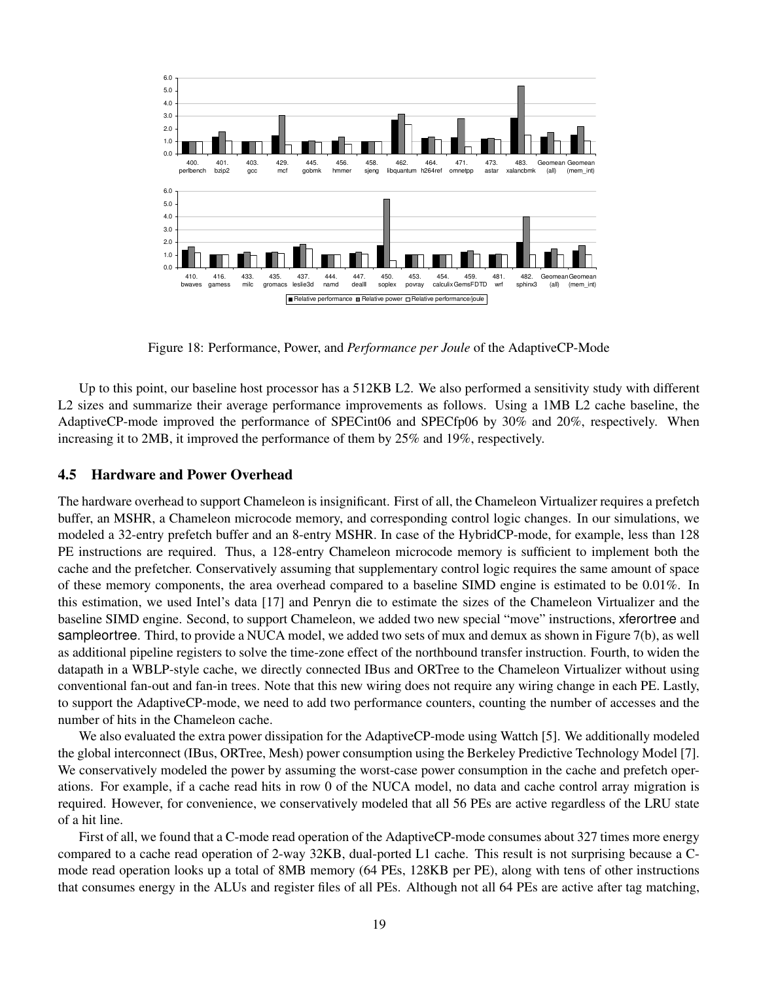

Figure 18: Performance, Power, and *Performance per Joule* of the AdaptiveCP-Mode

Up to this point, our baseline host processor has a 512KB L2. We also performed a sensitivity study with different L2 sizes and summarize their average performance improvements as follows. Using a 1MB L2 cache baseline, the AdaptiveCP-mode improved the performance of SPECint06 and SPECfp06 by 30% and 20%, respectively. When increasing it to 2MB, it improved the performance of them by 25% and 19%, respectively.

## **4.5 Hardware and Power Overhead**

The hardware overhead to support Chameleon is insignificant. First of all, the Chameleon Virtualizer requires a prefetch buffer, an MSHR, a Chameleon microcode memory, and corresponding control logic changes. In our simulations, we modeled a 32-entry prefetch buffer and an 8-entry MSHR. In case of the HybridCP-mode, for example, less than 128 PE instructions are required. Thus, a 128-entry Chameleon microcode memory is sufficient to implement both the cache and the prefetcher. Conservatively assuming that supplementary control logic requires the same amount of space of these memory components, the area overhead compared to a baseline SIMD engine is estimated to be 0.01%. In this estimation, we used Intel's data [17] and Penryn die to estimate the sizes of the Chameleon Virtualizer and the baseline SIMD engine. Second, to support Chameleon, we added two new special "move" instructions, xferortree and sampleortree. Third, to provide a NUCA model, we added two sets of mux and demux as shown in Figure 7(b), as well as additional pipeline registers to solve the time-zone effect of the northbound transfer instruction. Fourth, to widen the datapath in a WBLP-style cache, we directly connected IBus and ORTree to the Chameleon Virtualizer without using conventional fan-out and fan-in trees. Note that this new wiring does not require any wiring change in each PE. Lastly, to support the AdaptiveCP-mode, we need to add two performance counters, counting the number of accesses and the number of hits in the Chameleon cache.

We also evaluated the extra power dissipation for the AdaptiveCP-mode using Wattch [5]. We additionally modeled the global interconnect (IBus, ORTree, Mesh) power consumption using the Berkeley Predictive Technology Model [7]. We conservatively modeled the power by assuming the worst-case power consumption in the cache and prefetch operations. For example, if a cache read hits in row 0 of the NUCA model, no data and cache control array migration is required. However, for convenience, we conservatively modeled that all 56 PEs are active regardless of the LRU state of a hit line.

First of all, we found that a C-mode read operation of the AdaptiveCP-mode consumes about 327 times more energy compared to a cache read operation of 2-way 32KB, dual-ported L1 cache. This result is not surprising because a Cmode read operation looks up a total of 8MB memory (64 PEs, 128KB per PE), along with tens of other instructions that consumes energy in the ALUs and register files of all PEs. Although not all 64 PEs are active after tag matching,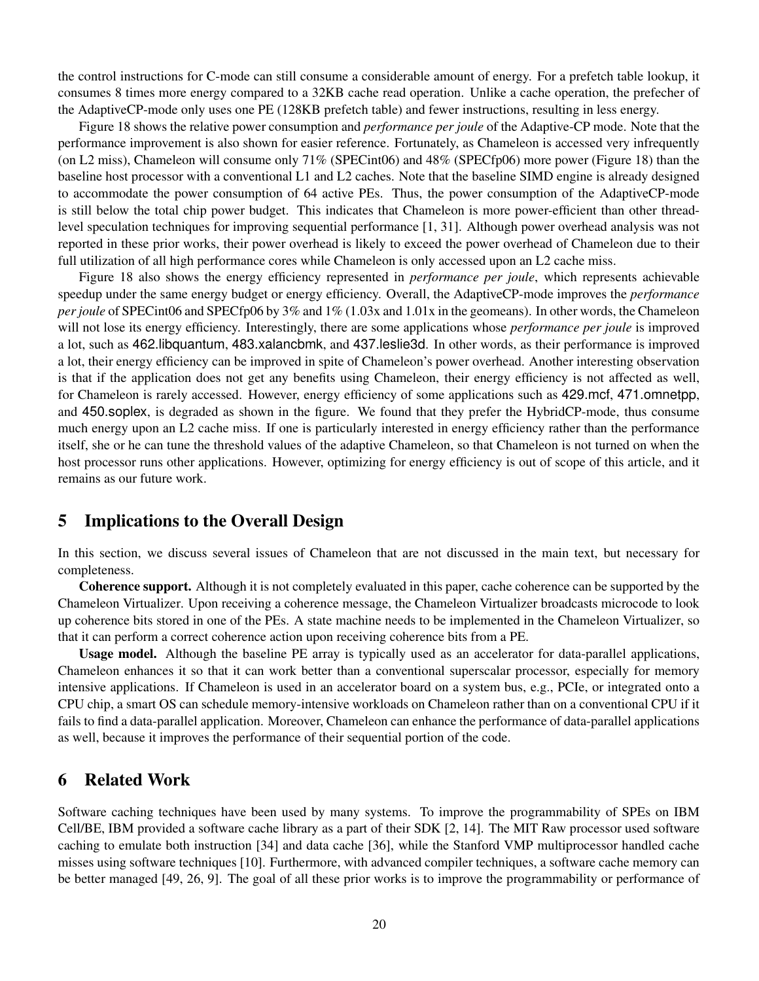the control instructions for C-mode can still consume a considerable amount of energy. For a prefetch table lookup, it consumes 8 times more energy compared to a 32KB cache read operation. Unlike a cache operation, the prefecher of the AdaptiveCP-mode only uses one PE (128KB prefetch table) and fewer instructions, resulting in less energy.

Figure 18 shows the relative power consumption and *performance per joule* of the Adaptive-CP mode. Note that the performance improvement is also shown for easier reference. Fortunately, as Chameleon is accessed very infrequently (on L2 miss), Chameleon will consume only 71% (SPECint06) and 48% (SPECfp06) more power (Figure 18) than the baseline host processor with a conventional L1 and L2 caches. Note that the baseline SIMD engine is already designed to accommodate the power consumption of 64 active PEs. Thus, the power consumption of the AdaptiveCP-mode is still below the total chip power budget. This indicates that Chameleon is more power-efficient than other threadlevel speculation techniques for improving sequential performance [1, 31]. Although power overhead analysis was not reported in these prior works, their power overhead is likely to exceed the power overhead of Chameleon due to their full utilization of all high performance cores while Chameleon is only accessed upon an L2 cache miss.

Figure 18 also shows the energy efficiency represented in *performance per joule*, which represents achievable speedup under the same energy budget or energy efficiency. Overall, the AdaptiveCP-mode improves the *performance per joule* of SPECint06 and SPECfp06 by 3% and 1% (1.03x and 1.01x in the geomeans). In other words, the Chameleon will not lose its energy efficiency. Interestingly, there are some applications whose *performance per joule* is improved a lot, such as 462.libquantum, 483.xalancbmk, and 437.leslie3d. In other words, as their performance is improved a lot, their energy efficiency can be improved in spite of Chameleon's power overhead. Another interesting observation is that if the application does not get any benefits using Chameleon, their energy efficiency is not affected as well, for Chameleon is rarely accessed. However, energy efficiency of some applications such as 429.mcf, 471.omnetpp, and 450.soplex, is degraded as shown in the figure. We found that they prefer the HybridCP-mode, thus consume much energy upon an L2 cache miss. If one is particularly interested in energy efficiency rather than the performance itself, she or he can tune the threshold values of the adaptive Chameleon, so that Chameleon is not turned on when the host processor runs other applications. However, optimizing for energy efficiency is out of scope of this article, and it remains as our future work.

# **5 Implications to the Overall Design**

In this section, we discuss several issues of Chameleon that are not discussed in the main text, but necessary for completeness.

**Coherence support.** Although it is not completely evaluated in this paper, cache coherence can be supported by the Chameleon Virtualizer. Upon receiving a coherence message, the Chameleon Virtualizer broadcasts microcode to look up coherence bits stored in one of the PEs. A state machine needs to be implemented in the Chameleon Virtualizer, so that it can perform a correct coherence action upon receiving coherence bits from a PE.

**Usage model.** Although the baseline PE array is typically used as an accelerator for data-parallel applications, Chameleon enhances it so that it can work better than a conventional superscalar processor, especially for memory intensive applications. If Chameleon is used in an accelerator board on a system bus, e.g., PCIe, or integrated onto a CPU chip, a smart OS can schedule memory-intensive workloads on Chameleon rather than on a conventional CPU if it fails to find a data-parallel application. Moreover, Chameleon can enhance the performance of data-parallel applications as well, because it improves the performance of their sequential portion of the code.

# **6 Related Work**

Software caching techniques have been used by many systems. To improve the programmability of SPEs on IBM Cell/BE, IBM provided a software cache library as a part of their SDK [2, 14]. The MIT Raw processor used software caching to emulate both instruction [34] and data cache [36], while the Stanford VMP multiprocessor handled cache misses using software techniques [10]. Furthermore, with advanced compiler techniques, a software cache memory can be better managed [49, 26, 9]. The goal of all these prior works is to improve the programmability or performance of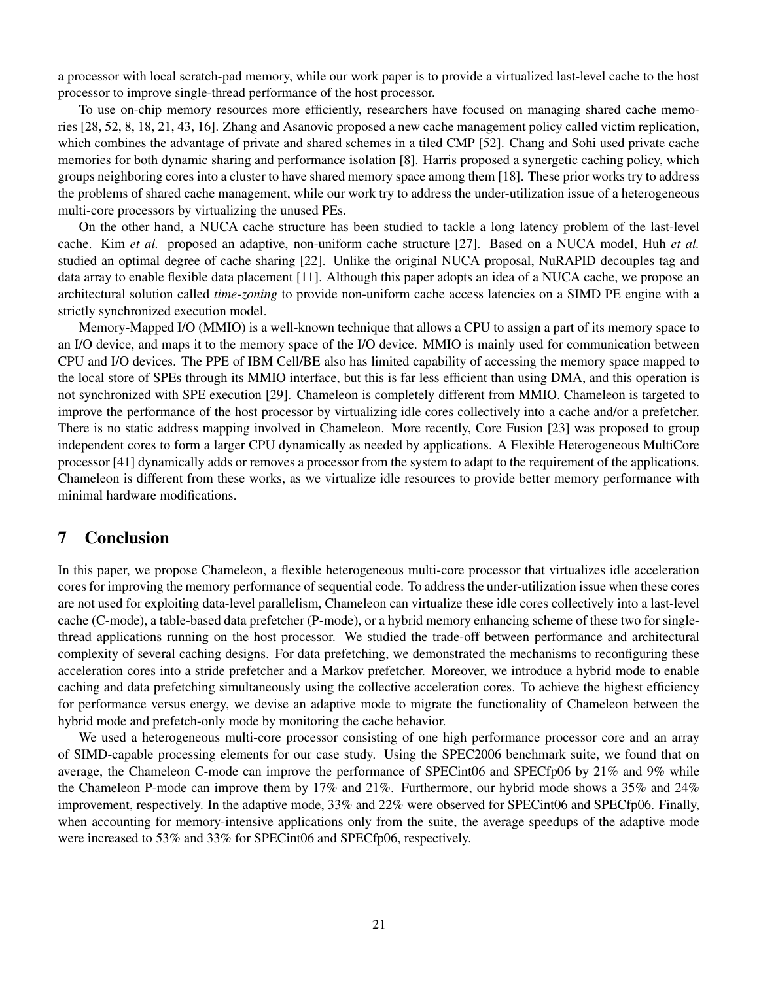a processor with local scratch-pad memory, while our work paper is to provide a virtualized last-level cache to the host processor to improve single-thread performance of the host processor.

To use on-chip memory resources more efficiently, researchers have focused on managing shared cache memories [28, 52, 8, 18, 21, 43, 16]. Zhang and Asanovic proposed a new cache management policy called victim replication, which combines the advantage of private and shared schemes in a tiled CMP [52]. Chang and Sohi used private cache memories for both dynamic sharing and performance isolation [8]. Harris proposed a synergetic caching policy, which groups neighboring cores into a cluster to have shared memory space among them [18]. These prior works try to address the problems of shared cache management, while our work try to address the under-utilization issue of a heterogeneous multi-core processors by virtualizing the unused PEs.

On the other hand, a NUCA cache structure has been studied to tackle a long latency problem of the last-level cache. Kim *et al.* proposed an adaptive, non-uniform cache structure [27]. Based on a NUCA model, Huh *et al.* studied an optimal degree of cache sharing [22]. Unlike the original NUCA proposal, NuRAPID decouples tag and data array to enable flexible data placement [11]. Although this paper adopts an idea of a NUCA cache, we propose an architectural solution called *time-zoning* to provide non-uniform cache access latencies on a SIMD PE engine with a strictly synchronized execution model.

Memory-Mapped I/O (MMIO) is a well-known technique that allows a CPU to assign a part of its memory space to an I/O device, and maps it to the memory space of the I/O device. MMIO is mainly used for communication between CPU and I/O devices. The PPE of IBM Cell/BE also has limited capability of accessing the memory space mapped to the local store of SPEs through its MMIO interface, but this is far less efficient than using DMA, and this operation is not synchronized with SPE execution [29]. Chameleon is completely different from MMIO. Chameleon is targeted to improve the performance of the host processor by virtualizing idle cores collectively into a cache and/or a prefetcher. There is no static address mapping involved in Chameleon. More recently, Core Fusion [23] was proposed to group independent cores to form a larger CPU dynamically as needed by applications. A Flexible Heterogeneous MultiCore processor [41] dynamically adds or removes a processor from the system to adapt to the requirement of the applications. Chameleon is different from these works, as we virtualize idle resources to provide better memory performance with minimal hardware modifications.

# **7 Conclusion**

In this paper, we propose Chameleon, a flexible heterogeneous multi-core processor that virtualizes idle acceleration cores for improving the memory performance of sequential code. To address the under-utilization issue when these cores are not used for exploiting data-level parallelism, Chameleon can virtualize these idle cores collectively into a last-level cache (C-mode), a table-based data prefetcher (P-mode), or a hybrid memory enhancing scheme of these two for singlethread applications running on the host processor. We studied the trade-off between performance and architectural complexity of several caching designs. For data prefetching, we demonstrated the mechanisms to reconfiguring these acceleration cores into a stride prefetcher and a Markov prefetcher. Moreover, we introduce a hybrid mode to enable caching and data prefetching simultaneously using the collective acceleration cores. To achieve the highest efficiency for performance versus energy, we devise an adaptive mode to migrate the functionality of Chameleon between the hybrid mode and prefetch-only mode by monitoring the cache behavior.

We used a heterogeneous multi-core processor consisting of one high performance processor core and an array of SIMD-capable processing elements for our case study. Using the SPEC2006 benchmark suite, we found that on average, the Chameleon C-mode can improve the performance of SPECint06 and SPECfp06 by 21% and 9% while the Chameleon P-mode can improve them by 17% and 21%. Furthermore, our hybrid mode shows a 35% and 24% improvement, respectively. In the adaptive mode, 33% and 22% were observed for SPECint06 and SPECfp06. Finally, when accounting for memory-intensive applications only from the suite, the average speedups of the adaptive mode were increased to 53% and 33% for SPECint06 and SPECfp06, respectively.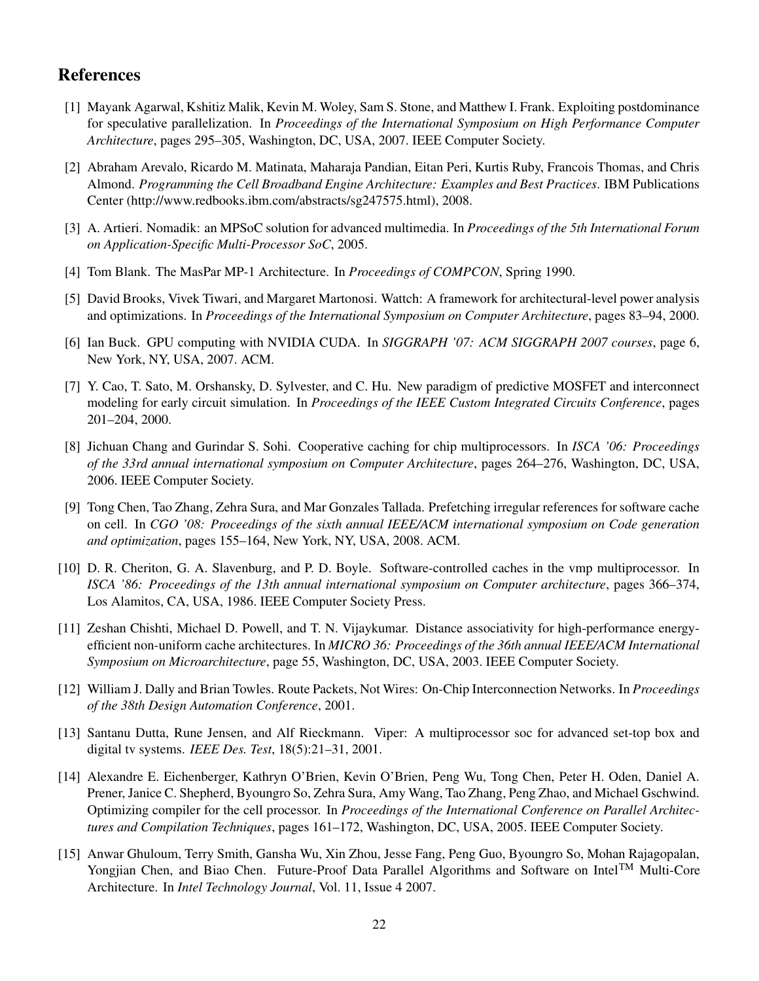# **References**

- [1] Mayank Agarwal, Kshitiz Malik, Kevin M. Woley, Sam S. Stone, and Matthew I. Frank. Exploiting postdominance for speculative parallelization. In *Proceedings of the International Symposium on High Performance Computer Architecture*, pages 295–305, Washington, DC, USA, 2007. IEEE Computer Society.
- [2] Abraham Arevalo, Ricardo M. Matinata, Maharaja Pandian, Eitan Peri, Kurtis Ruby, Francois Thomas, and Chris Almond. *Programming the Cell Broadband Engine Architecture: Examples and Best Practices*. IBM Publications Center (http://www.redbooks.ibm.com/abstracts/sg247575.html), 2008.
- [3] A. Artieri. Nomadik: an MPSoC solution for advanced multimedia. In *Proceedings of the 5th International Forum on Application-Specific Multi-Processor SoC*, 2005.
- [4] Tom Blank. The MasPar MP-1 Architecture. In *Proceedings of COMPCON*, Spring 1990.
- [5] David Brooks, Vivek Tiwari, and Margaret Martonosi. Wattch: A framework for architectural-level power analysis and optimizations. In *Proceedings of the International Symposium on Computer Architecture*, pages 83–94, 2000.
- [6] Ian Buck. GPU computing with NVIDIA CUDA. In *SIGGRAPH '07: ACM SIGGRAPH 2007 courses*, page 6, New York, NY, USA, 2007. ACM.
- [7] Y. Cao, T. Sato, M. Orshansky, D. Sylvester, and C. Hu. New paradigm of predictive MOSFET and interconnect modeling for early circuit simulation. In *Proceedings of the IEEE Custom Integrated Circuits Conference*, pages 201–204, 2000.
- [8] Jichuan Chang and Gurindar S. Sohi. Cooperative caching for chip multiprocessors. In *ISCA '06: Proceedings of the 33rd annual international symposium on Computer Architecture*, pages 264–276, Washington, DC, USA, 2006. IEEE Computer Society.
- [9] Tong Chen, Tao Zhang, Zehra Sura, and Mar Gonzales Tallada. Prefetching irregular references for software cache on cell. In *CGO '08: Proceedings of the sixth annual IEEE/ACM international symposium on Code generation and optimization*, pages 155–164, New York, NY, USA, 2008. ACM.
- [10] D. R. Cheriton, G. A. Slavenburg, and P. D. Boyle. Software-controlled caches in the vmp multiprocessor. In *ISCA '86: Proceedings of the 13th annual international symposium on Computer architecture*, pages 366–374, Los Alamitos, CA, USA, 1986. IEEE Computer Society Press.
- [11] Zeshan Chishti, Michael D. Powell, and T. N. Vijaykumar. Distance associativity for high-performance energyefficient non-uniform cache architectures. In *MICRO 36: Proceedings of the 36th annual IEEE/ACM International Symposium on Microarchitecture*, page 55, Washington, DC, USA, 2003. IEEE Computer Society.
- [12] William J. Dally and Brian Towles. Route Packets, Not Wires: On-Chip Interconnection Networks. In *Proceedings of the 38th Design Automation Conference*, 2001.
- [13] Santanu Dutta, Rune Jensen, and Alf Rieckmann. Viper: A multiprocessor soc for advanced set-top box and digital tv systems. *IEEE Des. Test*, 18(5):21–31, 2001.
- [14] Alexandre E. Eichenberger, Kathryn O'Brien, Kevin O'Brien, Peng Wu, Tong Chen, Peter H. Oden, Daniel A. Prener, Janice C. Shepherd, Byoungro So, Zehra Sura, Amy Wang, Tao Zhang, Peng Zhao, and Michael Gschwind. Optimizing compiler for the cell processor. In *Proceedings of the International Conference on Parallel Architectures and Compilation Techniques*, pages 161–172, Washington, DC, USA, 2005. IEEE Computer Society.
- [15] Anwar Ghuloum, Terry Smith, Gansha Wu, Xin Zhou, Jesse Fang, Peng Guo, Byoungro So, Mohan Rajagopalan, Yongjian Chen, and Biao Chen. Future-Proof Data Parallel Algorithms and Software on Intel<sup>TM</sup> Multi-Core Architecture. In *Intel Technology Journal*, Vol. 11, Issue 4 2007.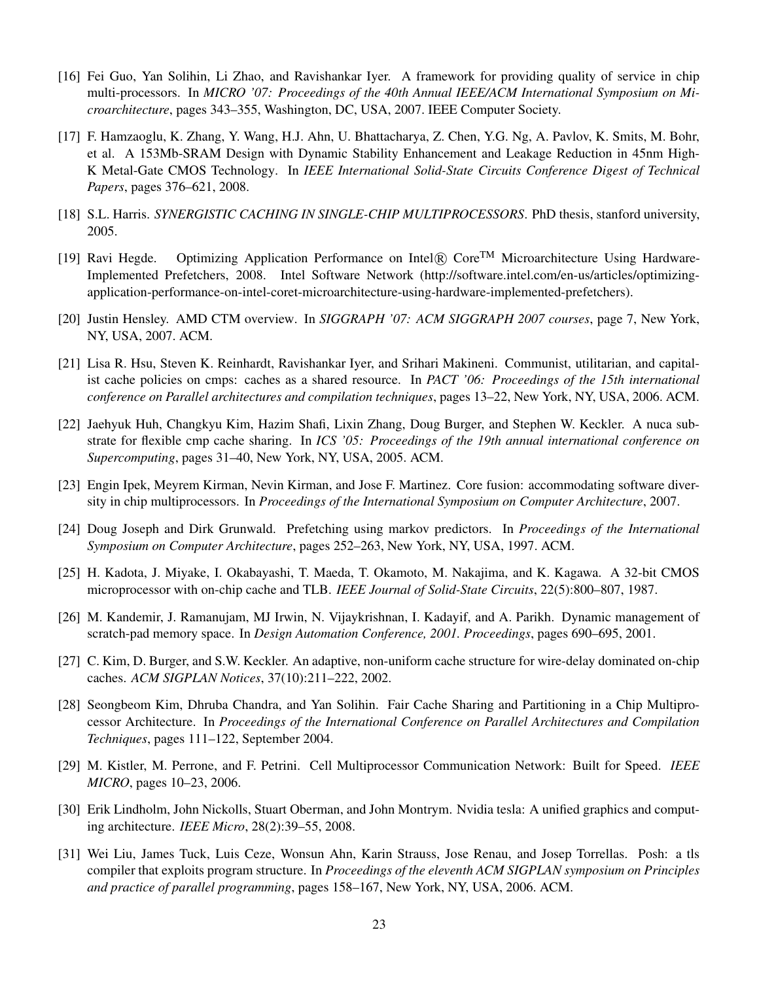- [16] Fei Guo, Yan Solihin, Li Zhao, and Ravishankar Iyer. A framework for providing quality of service in chip multi-processors. In *MICRO '07: Proceedings of the 40th Annual IEEE/ACM International Symposium on Microarchitecture*, pages 343–355, Washington, DC, USA, 2007. IEEE Computer Society.
- [17] F. Hamzaoglu, K. Zhang, Y. Wang, H.J. Ahn, U. Bhattacharya, Z. Chen, Y.G. Ng, A. Pavlov, K. Smits, M. Bohr, et al. A 153Mb-SRAM Design with Dynamic Stability Enhancement and Leakage Reduction in 45nm High-K Metal-Gate CMOS Technology. In *IEEE International Solid-State Circuits Conference Digest of Technical Papers*, pages 376–621, 2008.
- [18] S.L. Harris. *SYNERGISTIC CACHING IN SINGLE-CHIP MULTIPROCESSORS*. PhD thesis, stanford university, 2005.
- [19] Ravi Hegde. Optimizing Application Performance on Intel® Core<sup>TM</sup> Microarchitecture Using Hardware-Implemented Prefetchers, 2008. Intel Software Network (http://software.intel.com/en-us/articles/optimizingapplication-performance-on-intel-coret-microarchitecture-using-hardware-implemented-prefetchers).
- [20] Justin Hensley. AMD CTM overview. In *SIGGRAPH '07: ACM SIGGRAPH 2007 courses*, page 7, New York, NY, USA, 2007. ACM.
- [21] Lisa R. Hsu, Steven K. Reinhardt, Ravishankar Iyer, and Srihari Makineni. Communist, utilitarian, and capitalist cache policies on cmps: caches as a shared resource. In *PACT '06: Proceedings of the 15th international conference on Parallel architectures and compilation techniques*, pages 13–22, New York, NY, USA, 2006. ACM.
- [22] Jaehyuk Huh, Changkyu Kim, Hazim Shafi, Lixin Zhang, Doug Burger, and Stephen W. Keckler. A nuca substrate for flexible cmp cache sharing. In *ICS '05: Proceedings of the 19th annual international conference on Supercomputing*, pages 31–40, New York, NY, USA, 2005. ACM.
- [23] Engin Ipek, Meyrem Kirman, Nevin Kirman, and Jose F. Martinez. Core fusion: accommodating software diversity in chip multiprocessors. In *Proceedings of the International Symposium on Computer Architecture*, 2007.
- [24] Doug Joseph and Dirk Grunwald. Prefetching using markov predictors. In *Proceedings of the International Symposium on Computer Architecture*, pages 252–263, New York, NY, USA, 1997. ACM.
- [25] H. Kadota, J. Miyake, I. Okabayashi, T. Maeda, T. Okamoto, M. Nakajima, and K. Kagawa. A 32-bit CMOS microprocessor with on-chip cache and TLB. *IEEE Journal of Solid-State Circuits*, 22(5):800–807, 1987.
- [26] M. Kandemir, J. Ramanujam, MJ Irwin, N. Vijaykrishnan, I. Kadayif, and A. Parikh. Dynamic management of scratch-pad memory space. In *Design Automation Conference, 2001. Proceedings*, pages 690–695, 2001.
- [27] C. Kim, D. Burger, and S.W. Keckler. An adaptive, non-uniform cache structure for wire-delay dominated on-chip caches. *ACM SIGPLAN Notices*, 37(10):211–222, 2002.
- [28] Seongbeom Kim, Dhruba Chandra, and Yan Solihin. Fair Cache Sharing and Partitioning in a Chip Multiprocessor Architecture. In *Proceedings of the International Conference on Parallel Architectures and Compilation Techniques*, pages 111–122, September 2004.
- [29] M. Kistler, M. Perrone, and F. Petrini. Cell Multiprocessor Communication Network: Built for Speed. *IEEE MICRO*, pages 10–23, 2006.
- [30] Erik Lindholm, John Nickolls, Stuart Oberman, and John Montrym. Nvidia tesla: A unified graphics and computing architecture. *IEEE Micro*, 28(2):39–55, 2008.
- [31] Wei Liu, James Tuck, Luis Ceze, Wonsun Ahn, Karin Strauss, Jose Renau, and Josep Torrellas. Posh: a tls compiler that exploits program structure. In *Proceedings of the eleventh ACM SIGPLAN symposium on Principles and practice of parallel programming*, pages 158–167, New York, NY, USA, 2006. ACM.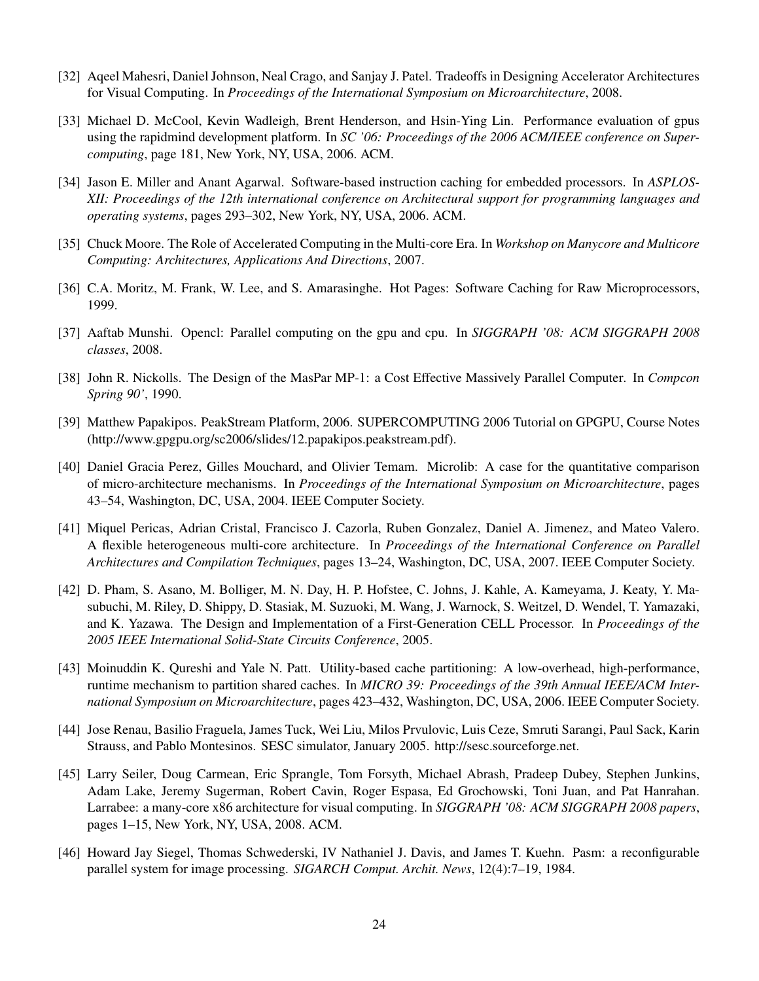- [32] Aqeel Mahesri, Daniel Johnson, Neal Crago, and Sanjay J. Patel. Tradeoffs in Designing Accelerator Architectures for Visual Computing. In *Proceedings of the International Symposium on Microarchitecture*, 2008.
- [33] Michael D. McCool, Kevin Wadleigh, Brent Henderson, and Hsin-Ying Lin. Performance evaluation of gpus using the rapidmind development platform. In *SC '06: Proceedings of the 2006 ACM/IEEE conference on Supercomputing*, page 181, New York, NY, USA, 2006. ACM.
- [34] Jason E. Miller and Anant Agarwal. Software-based instruction caching for embedded processors. In *ASPLOS-XII: Proceedings of the 12th international conference on Architectural support for programming languages and operating systems*, pages 293–302, New York, NY, USA, 2006. ACM.
- [35] Chuck Moore. The Role of Accelerated Computing in the Multi-core Era. In *Workshop on Manycore and Multicore Computing: Architectures, Applications And Directions*, 2007.
- [36] C.A. Moritz, M. Frank, W. Lee, and S. Amarasinghe. Hot Pages: Software Caching for Raw Microprocessors, 1999.
- [37] Aaftab Munshi. Opencl: Parallel computing on the gpu and cpu. In *SIGGRAPH '08: ACM SIGGRAPH 2008 classes*, 2008.
- [38] John R. Nickolls. The Design of the MasPar MP-1: a Cost Effective Massively Parallel Computer. In *Compcon Spring 90'*, 1990.
- [39] Matthew Papakipos. PeakStream Platform, 2006. SUPERCOMPUTING 2006 Tutorial on GPGPU, Course Notes (http://www.gpgpu.org/sc2006/slides/12.papakipos.peakstream.pdf).
- [40] Daniel Gracia Perez, Gilles Mouchard, and Olivier Temam. Microlib: A case for the quantitative comparison of micro-architecture mechanisms. In *Proceedings of the International Symposium on Microarchitecture*, pages 43–54, Washington, DC, USA, 2004. IEEE Computer Society.
- [41] Miquel Pericas, Adrian Cristal, Francisco J. Cazorla, Ruben Gonzalez, Daniel A. Jimenez, and Mateo Valero. A flexible heterogeneous multi-core architecture. In *Proceedings of the International Conference on Parallel Architectures and Compilation Techniques*, pages 13–24, Washington, DC, USA, 2007. IEEE Computer Society.
- [42] D. Pham, S. Asano, M. Bolliger, M. N. Day, H. P. Hofstee, C. Johns, J. Kahle, A. Kameyama, J. Keaty, Y. Masubuchi, M. Riley, D. Shippy, D. Stasiak, M. Suzuoki, M. Wang, J. Warnock, S. Weitzel, D. Wendel, T. Yamazaki, and K. Yazawa. The Design and Implementation of a First-Generation CELL Processor. In *Proceedings of the 2005 IEEE International Solid-State Circuits Conference*, 2005.
- [43] Moinuddin K. Qureshi and Yale N. Patt. Utility-based cache partitioning: A low-overhead, high-performance, runtime mechanism to partition shared caches. In *MICRO 39: Proceedings of the 39th Annual IEEE/ACM International Symposium on Microarchitecture*, pages 423–432, Washington, DC, USA, 2006. IEEE Computer Society.
- [44] Jose Renau, Basilio Fraguela, James Tuck, Wei Liu, Milos Prvulovic, Luis Ceze, Smruti Sarangi, Paul Sack, Karin Strauss, and Pablo Montesinos. SESC simulator, January 2005. http://sesc.sourceforge.net.
- [45] Larry Seiler, Doug Carmean, Eric Sprangle, Tom Forsyth, Michael Abrash, Pradeep Dubey, Stephen Junkins, Adam Lake, Jeremy Sugerman, Robert Cavin, Roger Espasa, Ed Grochowski, Toni Juan, and Pat Hanrahan. Larrabee: a many-core x86 architecture for visual computing. In *SIGGRAPH '08: ACM SIGGRAPH 2008 papers*, pages 1–15, New York, NY, USA, 2008. ACM.
- [46] Howard Jay Siegel, Thomas Schwederski, IV Nathaniel J. Davis, and James T. Kuehn. Pasm: a reconfigurable parallel system for image processing. *SIGARCH Comput. Archit. News*, 12(4):7–19, 1984.